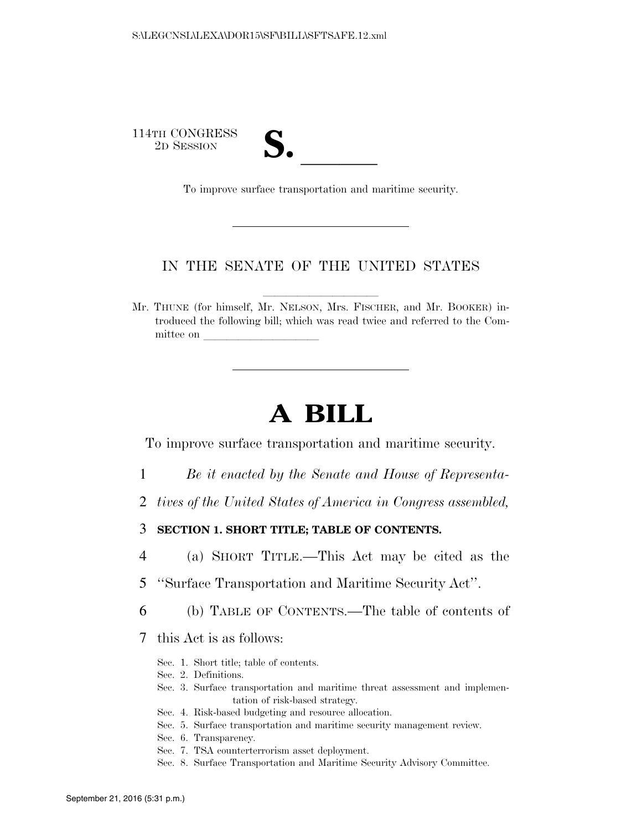114TH CONGRESS

TH CONGRESS<br>
2D SESSION<br>
To improve surface transportation and maritime security.

### IN THE SENATE OF THE UNITED STATES

Mr. THUNE (for himself, Mr. NELSON, Mrs. FISCHER, and Mr. BOOKER) introduced the following bill; which was read twice and referred to the Committee on

# **A BILL**

To improve surface transportation and maritime security.

- 1 *Be it enacted by the Senate and House of Representa-*
- 2 *tives of the United States of America in Congress assembled,*

3 **SECTION 1. SHORT TITLE; TABLE OF CONTENTS.** 

- 4 (a) SHORT TITLE.—This Act may be cited as the
- 5 ''Surface Transportation and Maritime Security Act''.
- 6 (b) TABLE OF CONTENTS.—The table of contents of

7 this Act is as follows:

- Sec. 1. Short title; table of contents.
- Sec. 2. Definitions.
- Sec. 3. Surface transportation and maritime threat assessment and implementation of risk-based strategy.
- Sec. 4. Risk-based budgeting and resource allocation.
- Sec. 5. Surface transportation and maritime security management review.
- Sec. 6. Transparency.
- Sec. 7. TSA counterterrorism asset deployment.
- Sec. 8. Surface Transportation and Maritime Security Advisory Committee.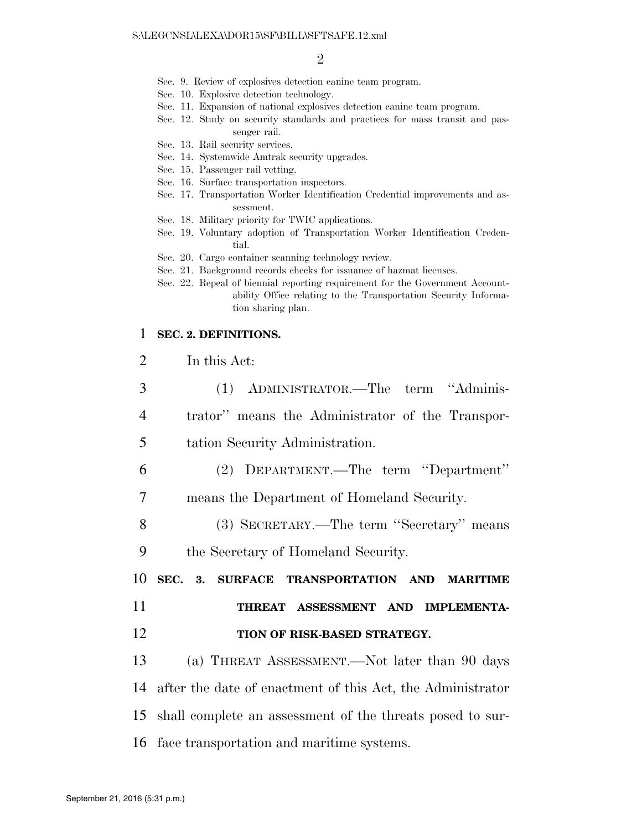- Sec. 9. Review of explosives detection canine team program.
- Sec. 10. Explosive detection technology.
- Sec. 11. Expansion of national explosives detection canine team program.
- Sec. 12. Study on security standards and practices for mass transit and passenger rail.
- Sec. 13. Rail security services.
- Sec. 14. Systemwide Amtrak security upgrades.
- Sec. 15. Passenger rail vetting.
- Sec. 16. Surface transportation inspectors.
- Sec. 17. Transportation Worker Identification Credential improvements and assessment.
- Sec. 18. Military priority for TWIC applications.
- Sec. 19. Voluntary adoption of Transportation Worker Identification Credential.
- Sec. 20. Cargo container scanning technology review.
- Sec. 21. Background records checks for issuance of hazmat licenses.
- Sec. 22. Repeal of biennial reporting requirement for the Government Accountability Office relating to the Transportation Security Information sharing plan.

#### 1 **SEC. 2. DEFINITIONS.**

| ⌒<br>$\angle$ |  | In this Act: |
|---------------|--|--------------|
|               |  |              |

| 3              | (1) ADMINISTRATOR.—The term "Adminis-                      |
|----------------|------------------------------------------------------------|
| $\overline{4}$ | trator" means the Administrator of the Transpor-           |
| 5              | tation Security Administration.                            |
| 6              | (2) DEPARTMENT.—The term "Department"                      |
| $\overline{7}$ | means the Department of Homeland Security.                 |
| 8              | (3) SECRETARY.—The term "Secretary" means                  |
| 9              | the Secretary of Homeland Security.                        |
|                |                                                            |
| 10             | SEC.<br>3. SURFACE TRANSPORTATION AND MARITIME             |
| 11             | THREAT ASSESSMENT AND IMPLEMENTA-                          |
| 12             | TION OF RISK-BASED STRATEGY.                               |
| 13             | (a) THREAT ASSESSMENT.—Not later than 90 days              |
| 14             | after the date of enactment of this Act, the Administrator |
| 15             | shall complete an assessment of the threats posed to sur-  |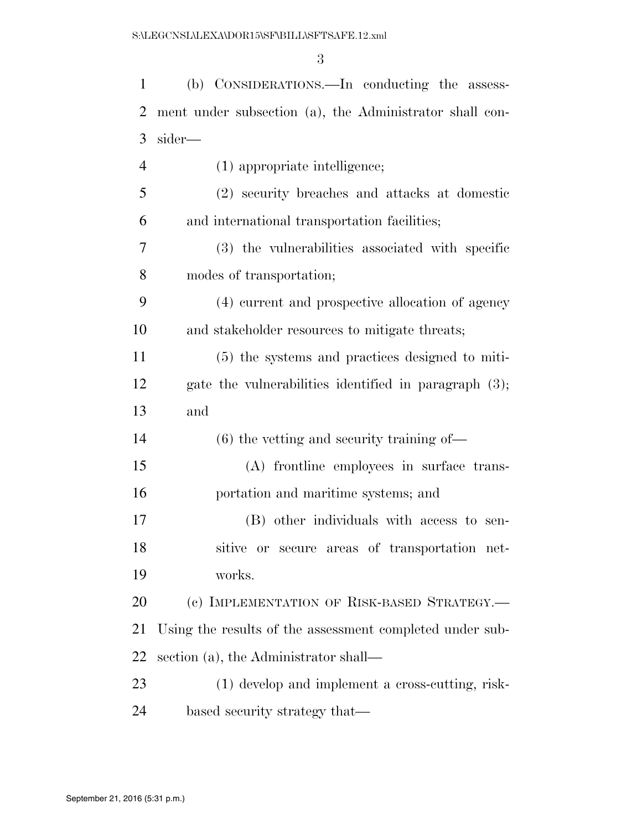| $\mathbf{1}$   | (b) CONSIDERATIONS.—In conducting the assess-            |
|----------------|----------------------------------------------------------|
| $\overline{2}$ | ment under subsection (a), the Administrator shall con-  |
| 3              | sider—                                                   |
| $\overline{4}$ | (1) appropriate intelligence;                            |
| 5              | (2) security breaches and attacks at domestic            |
| 6              | and international transportation facilities;             |
| 7              | (3) the vulnerabilities associated with specific         |
| 8              | modes of transportation;                                 |
| 9              | (4) current and prospective allocation of agency         |
| 10             | and stakeholder resources to mitigate threats;           |
| 11             | (5) the systems and practices designed to miti-          |
| 12             | gate the vulnerabilities identified in paragraph $(3)$ ; |
| 13             | and                                                      |
| 14             | $(6)$ the vetting and security training of—              |
| 15             | (A) frontline employees in surface trans-                |
| 16             | portation and maritime systems; and                      |
| 17             | (B) other individuals with access to sen-                |
| 18             | sitive or secure areas of transportation net-            |
| 19             | works.                                                   |
| 20             | (c) IMPLEMENTATION OF RISK-BASED STRATEGY.-              |
| 21             | Using the results of the assessment completed under sub- |
| 22             | section (a), the Administrator shall—                    |
| 23             | (1) develop and implement a cross-cutting, risk-         |
| 24             | based security strategy that—                            |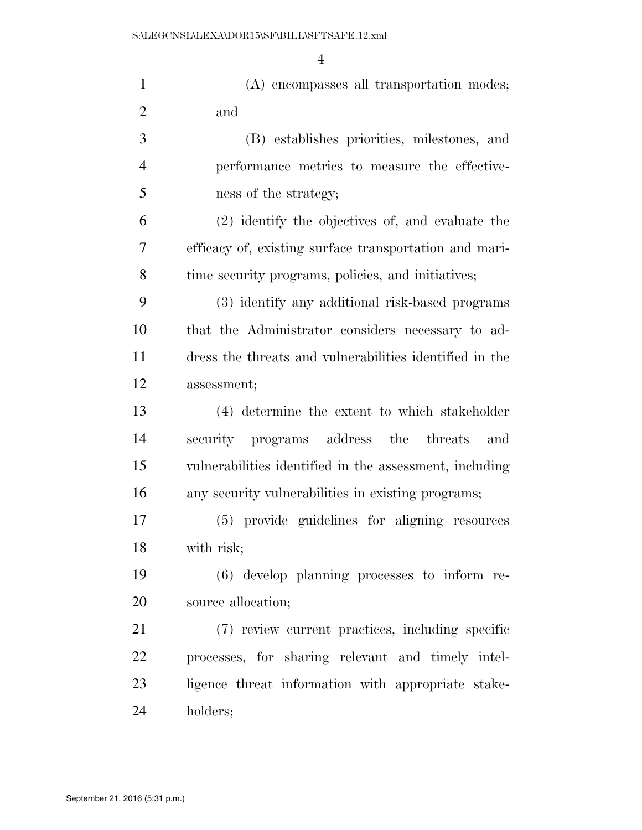| $\mathbf{1}$   | (A) encompasses all transportation modes;               |
|----------------|---------------------------------------------------------|
| $\overline{2}$ | and                                                     |
| 3              | (B) establishes priorities, milestones, and             |
| $\overline{4}$ | performance metrics to measure the effective-           |
| 5              | ness of the strategy;                                   |
| 6              | (2) identify the objectives of, and evaluate the        |
| $\overline{7}$ | efficacy of, existing surface transportation and mari-  |
| 8              | time security programs, policies, and initiatives;      |
| 9              | (3) identify any additional risk-based programs         |
| 10             | that the Administrator considers necessary to ad-       |
| 11             | dress the threats and vulnerabilities identified in the |
| 12             | assessment;                                             |
| 13             | (4) determine the extent to which stakeholder           |
| 14             | security programs address the threats<br>and            |
| 15             | vulnerabilities identified in the assessment, including |
| 16             | any security vulnerabilities in existing programs;      |
| 17             | (5) provide guidelines for aligning resources           |
| 18             | with risk;                                              |
| 19             | $(6)$ develop planning processes to inform re-          |
| 20             | source allocation;                                      |
| 21             | (7) review current practices, including specific        |
| 22             | processes, for sharing relevant and timely intel-       |
| 23             | ligence threat information with appropriate stake-      |
| 24             | holders;                                                |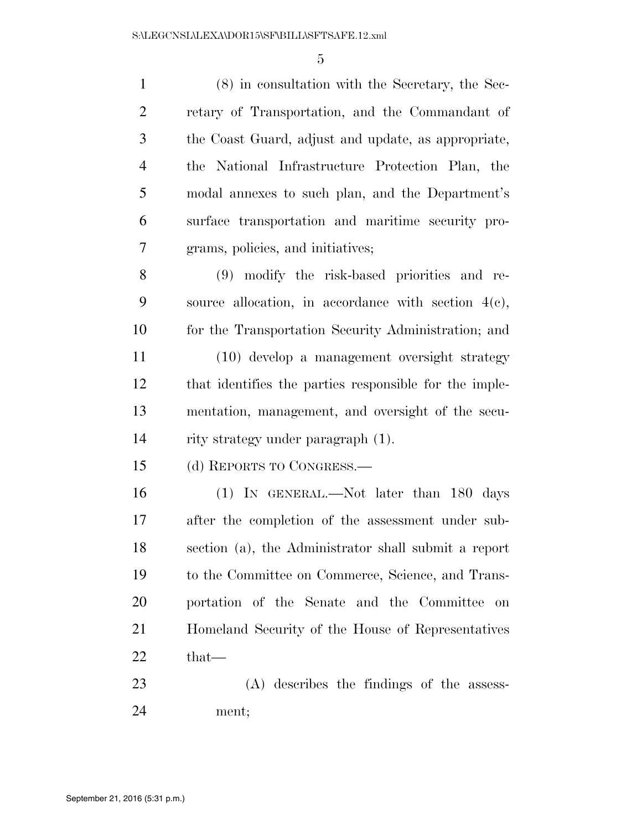(8) in consultation with the Secretary, the Sec- retary of Transportation, and the Commandant of the Coast Guard, adjust and update, as appropriate, the National Infrastructure Protection Plan, the modal annexes to such plan, and the Department's surface transportation and maritime security pro- grams, policies, and initiatives; (9) modify the risk-based priorities and re- source allocation, in accordance with section 4(c), for the Transportation Security Administration; and (10) develop a management oversight strategy that identifies the parties responsible for the imple- mentation, management, and oversight of the secu- rity strategy under paragraph (1). (d) REPORTS TO CONGRESS.— (1) IN GENERAL.—Not later than 180 days after the completion of the assessment under sub- section (a), the Administrator shall submit a report to the Committee on Commerce, Science, and Trans- portation of the Senate and the Committee on Homeland Security of the House of Representatives that— (A) describes the findings of the assess-ment;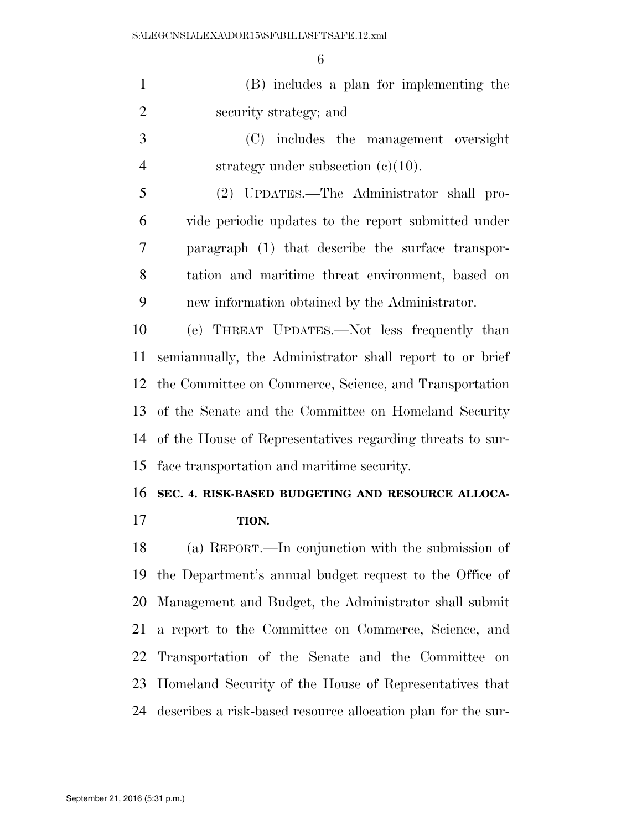| $\mathbf{1}$   | (B) includes a plan for implementing the                     |
|----------------|--------------------------------------------------------------|
| $\overline{2}$ | security strategy; and                                       |
| 3              | (C) includes the management oversight                        |
| $\overline{4}$ | strategy under subsection $(e)(10)$ .                        |
| 5              | (2) UPDATES.—The Administrator shall pro-                    |
| 6              | vide periodic updates to the report submitted under          |
| $\overline{7}$ | paragraph (1) that describe the surface transpor-            |
| 8              | tation and maritime threat environment, based on             |
| 9              | new information obtained by the Administrator.               |
| 10             | (e) THREAT UPDATES.—Not less frequently than                 |
| 11             | semianmually, the Administrator shall report to or brief     |
| 12             | the Committee on Commerce, Science, and Transportation       |
| 13             | of the Senate and the Committee on Homeland Security         |
| 14             | of the House of Representatives regarding threats to sur-    |
| 15             | face transportation and maritime security.                   |
| 16             | SEC. 4. RISK-BASED BUDGETING AND RESOURCE ALLOCA-            |
| 17             | TION.                                                        |
| 18             | (a) REPORT.—In conjunction with the submission of            |
| 19             | the Department's annual budget request to the Office of      |
| 20             | Management and Budget, the Administrator shall submit        |
| 21             | a report to the Committee on Commerce, Science, and          |
| 22             | Transportation of the Senate and the Committee on            |
| 23             | Homeland Security of the House of Representatives that       |
| 24             | describes a risk-based resource allocation plan for the sur- |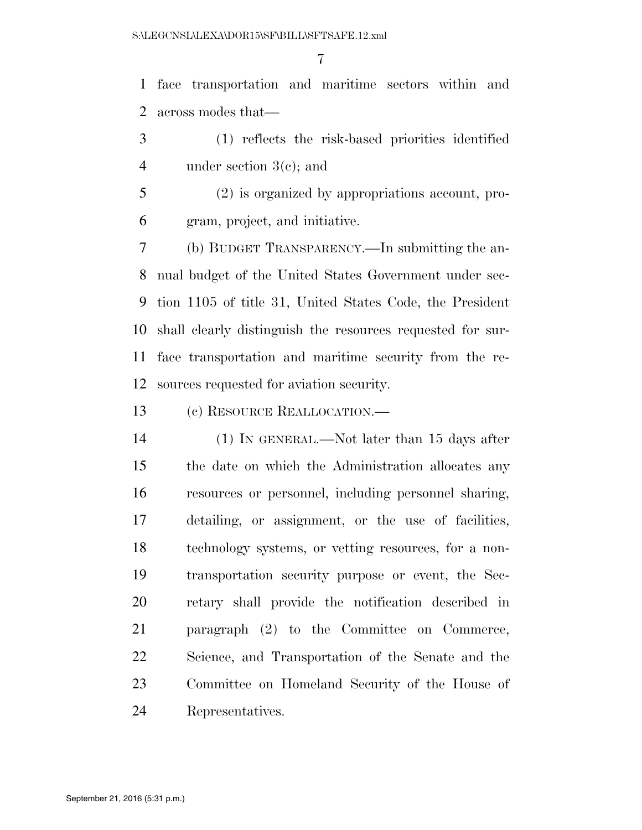face transportation and maritime sectors within and across modes that—

- (1) reflects the risk-based priorities identified under section 3(c); and
- (2) is organized by appropriations account, pro-gram, project, and initiative.

 (b) BUDGET TRANSPARENCY.—In submitting the an- nual budget of the United States Government under sec- tion 1105 of title 31, United States Code, the President shall clearly distinguish the resources requested for sur- face transportation and maritime security from the re-sources requested for aviation security.

(c) RESOURCE REALLOCATION.—

 (1) IN GENERAL.—Not later than 15 days after the date on which the Administration allocates any resources or personnel, including personnel sharing, detailing, or assignment, or the use of facilities, technology systems, or vetting resources, for a non- transportation security purpose or event, the Sec- retary shall provide the notification described in paragraph (2) to the Committee on Commerce, Science, and Transportation of the Senate and the Committee on Homeland Security of the House of Representatives.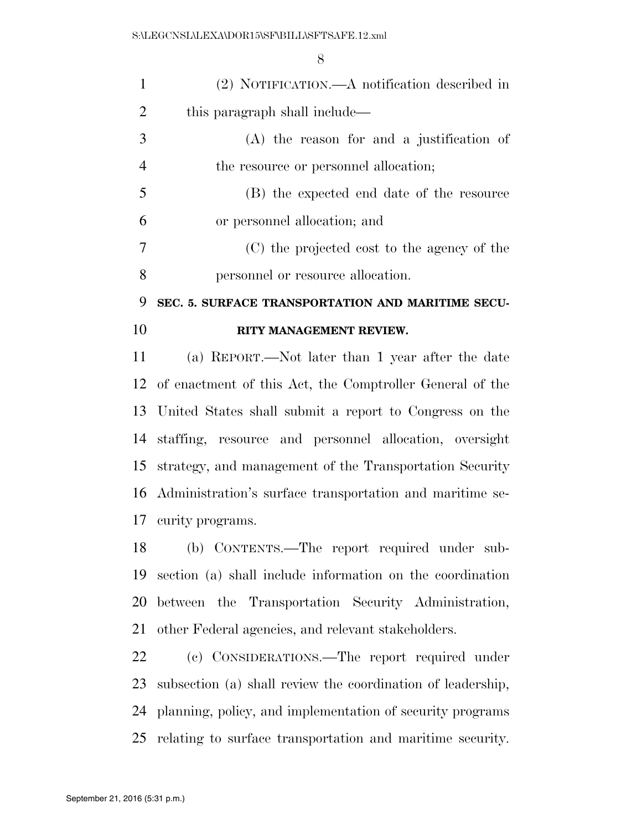| $\mathbf{1}$   | (2) NOTIFICATION.—A notification described in               |
|----------------|-------------------------------------------------------------|
| $\overline{2}$ | this paragraph shall include—                               |
| 3              | (A) the reason for and a justification of                   |
| $\overline{4}$ | the resource or personnel allocation;                       |
| 5              | (B) the expected end date of the resource                   |
| 6              | or personnel allocation; and                                |
| $\tau$         | (C) the projected cost to the agency of the                 |
| 8              | personnel or resource allocation.                           |
| 9              | SEC. 5. SURFACE TRANSPORTATION AND MARITIME SECU-           |
| 10             | RITY MANAGEMENT REVIEW.                                     |
| 11             | (a) REPORT.—Not later than 1 year after the date            |
|                | 12 of enactment of this Act, the Comptroller General of the |
| 13             | United States shall submit a report to Congress on the      |
| 14             | staffing, resource and personnel allocation, oversight      |
| 15             | strategy, and management of the Transportation Security     |
|                | 16 Administration's surface transportation and maritime se- |
|                | 17 curity programs.                                         |
| 18             | (b) CONTENTS.—The report required under sub-                |
| 19             | section (a) shall include information on the coordination   |
| 20             | between the Transportation Security Administration,         |
| 21             | other Federal agencies, and relevant stakeholders.          |

 (c) CONSIDERATIONS.—The report required under subsection (a) shall review the coordination of leadership, planning, policy, and implementation of security programs relating to surface transportation and maritime security.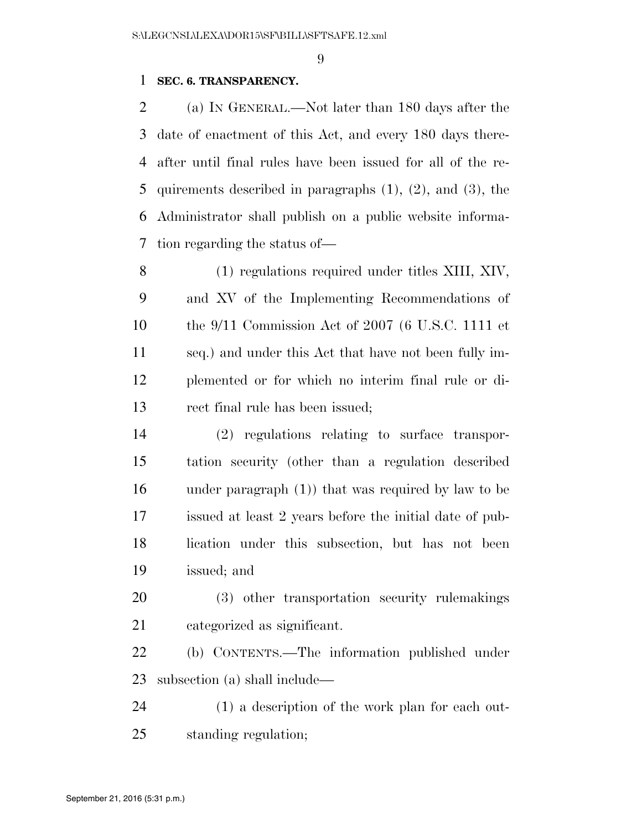### **SEC. 6. TRANSPARENCY.**

 (a) IN GENERAL.—Not later than 180 days after the date of enactment of this Act, and every 180 days there- after until final rules have been issued for all of the re- quirements described in paragraphs (1), (2), and (3), the Administrator shall publish on a public website informa-tion regarding the status of—

 (1) regulations required under titles XIII, XIV, and XV of the Implementing Recommendations of the 9/11 Commission Act of 2007 (6 U.S.C. 1111 et seq.) and under this Act that have not been fully im- plemented or for which no interim final rule or di-rect final rule has been issued;

 (2) regulations relating to surface transpor- tation security (other than a regulation described under paragraph (1)) that was required by law to be issued at least 2 years before the initial date of pub- lication under this subsection, but has not been issued; and

 (3) other transportation security rulemakings categorized as significant.

 (b) CONTENTS.—The information published under subsection (a) shall include—

 (1) a description of the work plan for each out-standing regulation;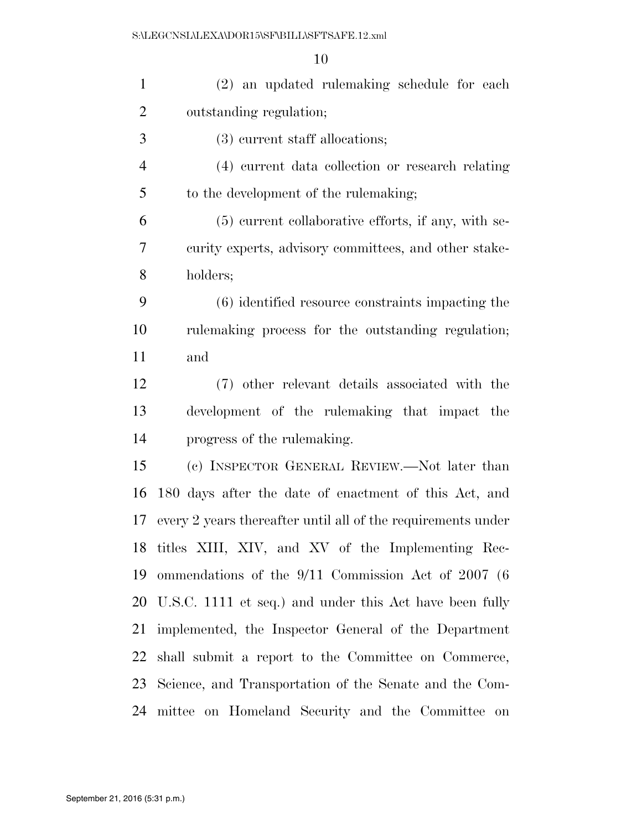| $\mathbf{1}$   | (2) an updated rulemaking schedule for each                  |
|----------------|--------------------------------------------------------------|
| $\overline{2}$ | outstanding regulation;                                      |
| 3              | (3) current staff allocations;                               |
| $\overline{4}$ | (4) current data collection or research relating             |
| 5              | to the development of the rulemaking;                        |
| 6              | (5) current collaborative efforts, if any, with se-          |
| 7              | curity experts, advisory committees, and other stake-        |
| 8              | holders;                                                     |
| 9              | $(6)$ identified resource constraints impacting the          |
| 10             | rulemaking process for the outstanding regulation;           |
| 11             | and                                                          |
| 12             | (7) other relevant details associated with the               |
| 13             | development of the rulemaking that impact the                |
| 14             | progress of the rule making.                                 |
| 15             | (c) INSPECTOR GENERAL REVIEW.—Not later than                 |
| 16             | 180 days after the date of enactment of this Act, and        |
| 17             | every 2 years thereafter until all of the requirements under |
|                | 18 titles XIII, XIV, and XV of the Implementing Rec-         |
| 19             | ommendations of the $9/11$ Commission Act of 2007 (6)        |
|                | 20 U.S.C. 1111 et seq.) and under this Act have been fully   |
| 21             | implemented, the Inspector General of the Department         |
| 22             | shall submit a report to the Committee on Commerce,          |
| 23             | Science, and Transportation of the Senate and the Com-       |
| 24             | mittee on Homeland Security and the Committee on             |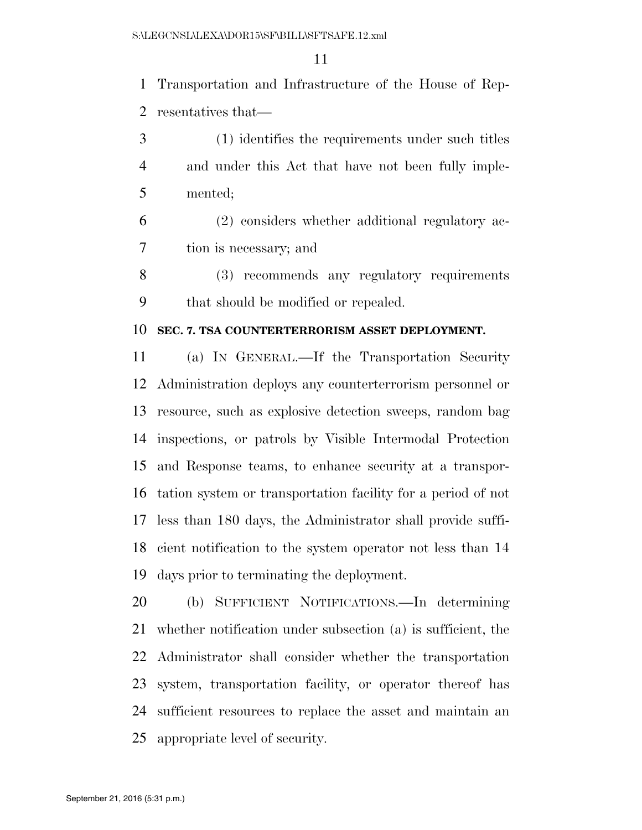Transportation and Infrastructure of the House of Rep-resentatives that—

- (1) identifies the requirements under such titles and under this Act that have not been fully imple-mented;
- (2) considers whether additional regulatory ac-tion is necessary; and
- (3) recommends any regulatory requirements that should be modified or repealed.

#### **SEC. 7. TSA COUNTERTERRORISM ASSET DEPLOYMENT.**

 (a) IN GENERAL.—If the Transportation Security Administration deploys any counterterrorism personnel or resource, such as explosive detection sweeps, random bag inspections, or patrols by Visible Intermodal Protection and Response teams, to enhance security at a transpor- tation system or transportation facility for a period of not less than 180 days, the Administrator shall provide suffi- cient notification to the system operator not less than 14 days prior to terminating the deployment.

 (b) SUFFICIENT NOTIFICATIONS.—In determining whether notification under subsection (a) is sufficient, the Administrator shall consider whether the transportation system, transportation facility, or operator thereof has sufficient resources to replace the asset and maintain an appropriate level of security.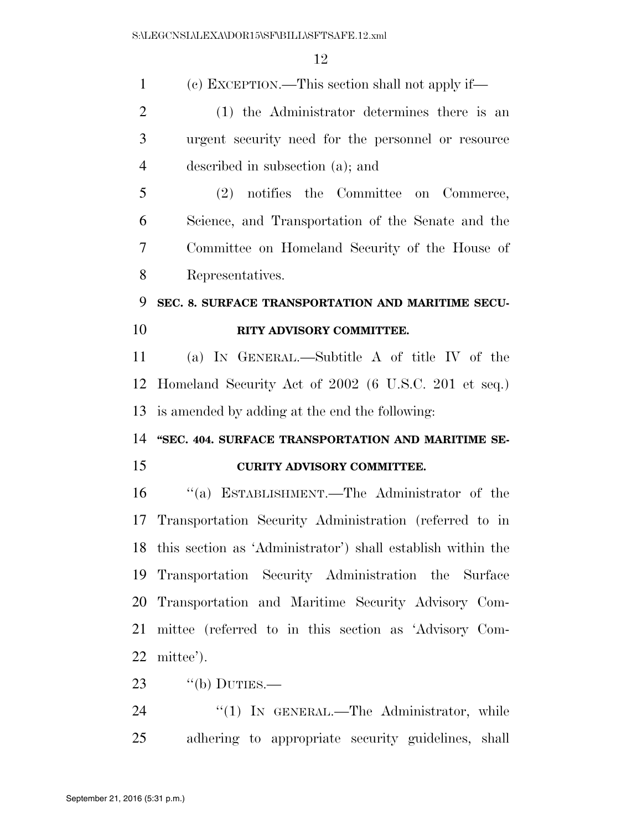| $\mathbf{1}$   | (c) EXCEPTION.—This section shall not apply if—                |
|----------------|----------------------------------------------------------------|
| $\overline{2}$ | (1) the Administrator determines there is an                   |
| 3              | urgent security need for the personnel or resource             |
| $\overline{4}$ | described in subsection (a); and                               |
| 5              | (2) notifies the Committee on Commerce,                        |
| 6              | Science, and Transportation of the Senate and the              |
| 7              | Committee on Homeland Security of the House of                 |
| 8              | Representatives.                                               |
| 9              | SEC. 8. SURFACE TRANSPORTATION AND MARITIME SECU-              |
| 10             | RITY ADVISORY COMMITTEE.                                       |
| 11             | (a) IN GENERAL.—Subtitle A of title IV of the                  |
| 12             | Homeland Security Act of 2002 (6 U.S.C. 201 et seq.)           |
| 13             | is amended by adding at the end the following:                 |
| 14             | "SEC. 404. SURFACE TRANSPORTATION AND MARITIME SE-             |
| 15             | <b>CURITY ADVISORY COMMITTEE.</b>                              |
| 16             | "(a) ESTABLISHMENT.—The Administrator of the                   |
| 17             | Transportation Security Administration (referred to in         |
|                | 18 this section as 'Administrator') shall establish within the |
| 19             | Transportation Security Administration the Surface             |
| 20             | Transportation and Maritime Security Advisory Com-             |
| 21             | mittee (referred to in this section as 'Advisory Com-          |
| 22             | mittee').                                                      |
| 23             | $``$ (b) DUTIES.—                                              |
| 24             | "(1) IN GENERAL.—The Administrator, while                      |
| 25             | adhering to appropriate security guidelines, shall             |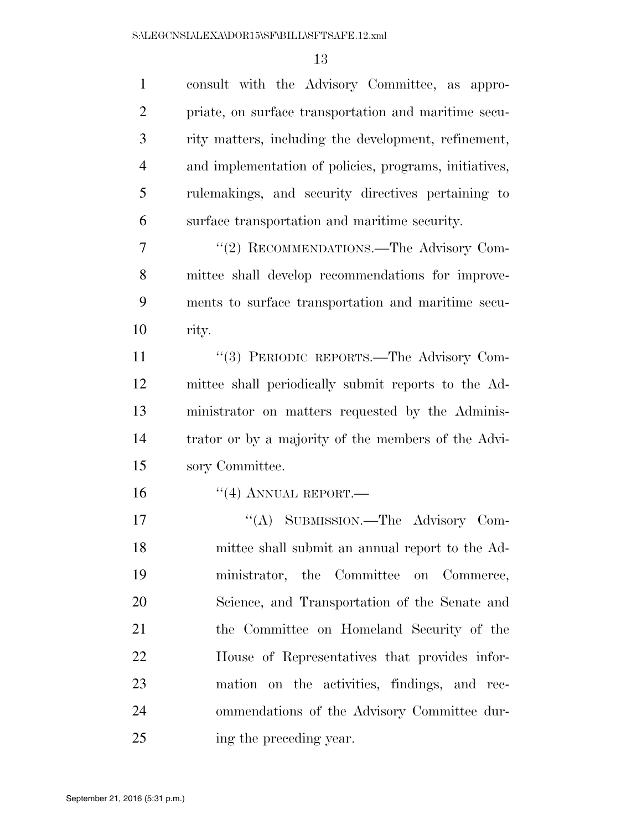| $\mathbf{1}$   | consult with the Advisory Committee, as appro-         |
|----------------|--------------------------------------------------------|
| $\overline{2}$ | priate, on surface transportation and maritime secu-   |
| 3              | rity matters, including the development, refinement,   |
| $\overline{4}$ | and implementation of policies, programs, initiatives, |
| 5              | rulemakings, and security directives pertaining to     |
| 6              | surface transportation and maritime security.          |
| $\overline{7}$ | "(2) RECOMMENDATIONS.—The Advisory Com-                |
| 8              | mittee shall develop recommendations for improve-      |
| 9              | ments to surface transportation and maritime secu-     |
| 10             | rity.                                                  |
| 11             | "(3) PERIODIC REPORTS.—The Advisory Com-               |
| 12             | mittee shall periodically submit reports to the Ad-    |
| 13             | ministrator on matters requested by the Adminis-       |
| 14             | trator or by a majority of the members of the Advi-    |
| 15             | sory Committee.                                        |
| 16             | $``(4)$ ANNUAL REPORT.—                                |
| 17             | "(A) SUBMISSION.—The Advisory Com-                     |
| 18             | mittee shall submit an annual report to the Ad-        |
| 19             | ministrator, the Committee on Commerce,                |
| 20             | Science, and Transportation of the Senate and          |
| 21             | the Committee on Homeland Security of the              |
| 22             | House of Representatives that provides infor-          |
| 23             | mation on the activities, findings, and rec-           |
| 24             | ommendations of the Advisory Committee dur-            |
| 25             | ing the preceding year.                                |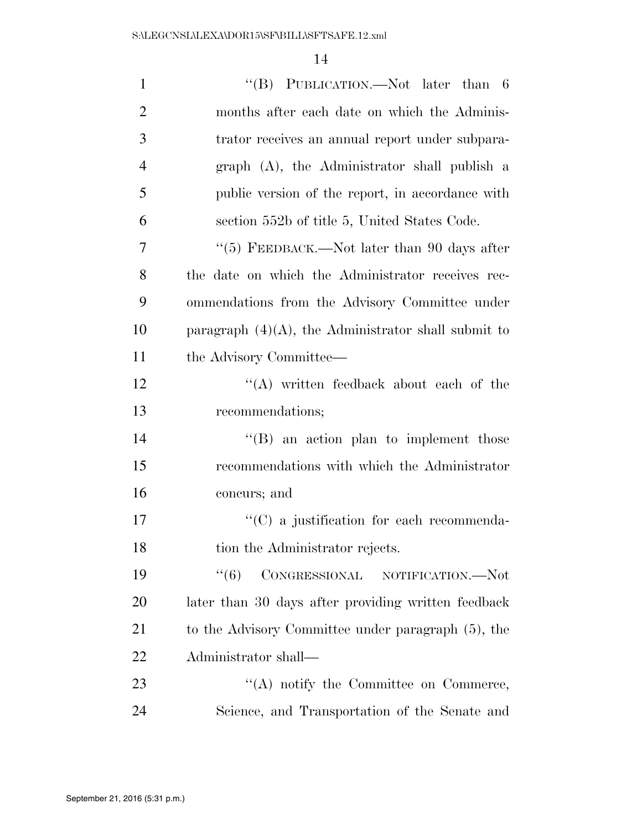| $\mathbf{1}$   | "(B) PUBLICATION.—Not later than 6                     |
|----------------|--------------------------------------------------------|
| $\overline{2}$ | months after each date on which the Adminis-           |
| 3              | trator receives an annual report under subpara-        |
| $\overline{4}$ | graph (A), the Administrator shall publish a           |
| 5              | public version of the report, in accordance with       |
| 6              | section 552b of title 5, United States Code.           |
| 7              | "(5) FEEDBACK.—Not later than 90 days after            |
| 8              | the date on which the Administrator receives rec-      |
| 9              | ommendations from the Advisory Committee under         |
| 10             | paragraph $(4)(A)$ , the Administrator shall submit to |
| 11             | the Advisory Committee—                                |
| 12             | $\lq\lq$ written feedback about each of the            |
| 13             | recommendations;                                       |
| 14             | $\lq\lq (B)$ an action plan to implement those         |
| 15             | recommendations with which the Administrator           |
| 16             | concurs; and                                           |
| 17             | $\lq\lq$ (C) a justification for each recommenda-      |
| 18             | tion the Administrator rejects.                        |
| 19             | CONGRESSIONAL NOTIFICATION.-Not<br>``(6)               |
| 20             | later than 30 days after providing written feedback    |
| 21             | to the Advisory Committee under paragraph (5), the     |
| 22             | Administrator shall—                                   |
| 23             | "(A) notify the Committee on Commerce,                 |
| 24             | Science, and Transportation of the Senate and          |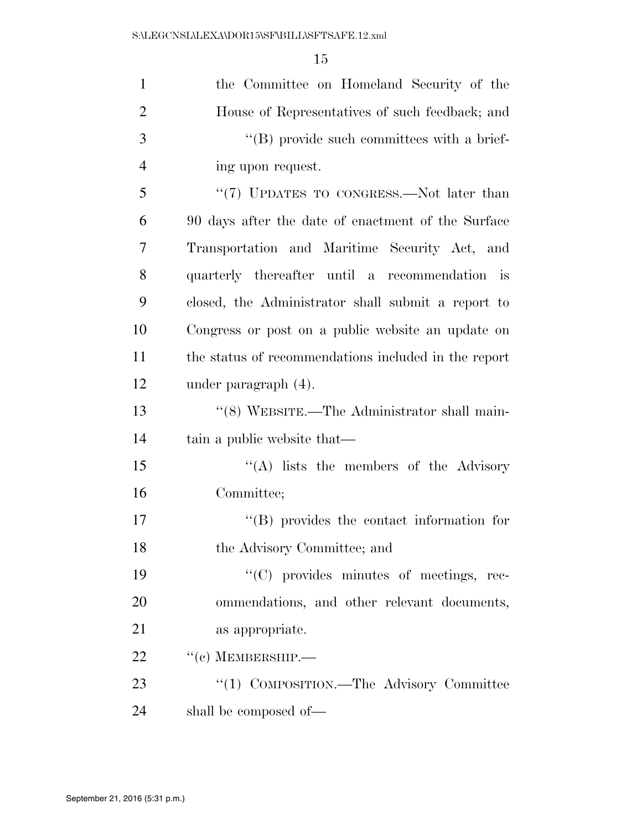| $\mathbf{1}$   | the Committee on Homeland Security of the            |
|----------------|------------------------------------------------------|
| $\overline{2}$ | House of Representatives of such feedback; and       |
| 3              | "(B) provide such committees with a brief-           |
| $\overline{4}$ | ing upon request.                                    |
| 5              | "(7) UPDATES TO CONGRESS.—Not later than             |
| 6              | 90 days after the date of enactment of the Surface   |
| 7              | Transportation and Maritime Security Act, and        |
| 8              | quarterly thereafter until a recommendation is       |
| 9              | closed, the Administrator shall submit a report to   |
| 10             | Congress or post on a public website an update on    |
| 11             | the status of recommendations included in the report |
| 12             | under paragraph $(4)$ .                              |
| 13             | "(8) WEBSITE.—The Administrator shall main-          |
| 14             | tain a public website that—                          |
| 15             | "(A) lists the members of the Advisory               |
| 16             | Committee;                                           |
| 17             | $\lq\lq$ provides the contact information for        |
| 18             | the Advisory Committee; and                          |
| 19             | "(C) provides minutes of meetings, rec-              |
| 20             | ommendations, and other relevant documents,          |
| 21             | as appropriate.                                      |
| 22             | $``(c)$ MEMBERSHIP.—                                 |
| 23             | "(1) COMPOSITION.—The Advisory Committee             |
| 24             | shall be composed of—                                |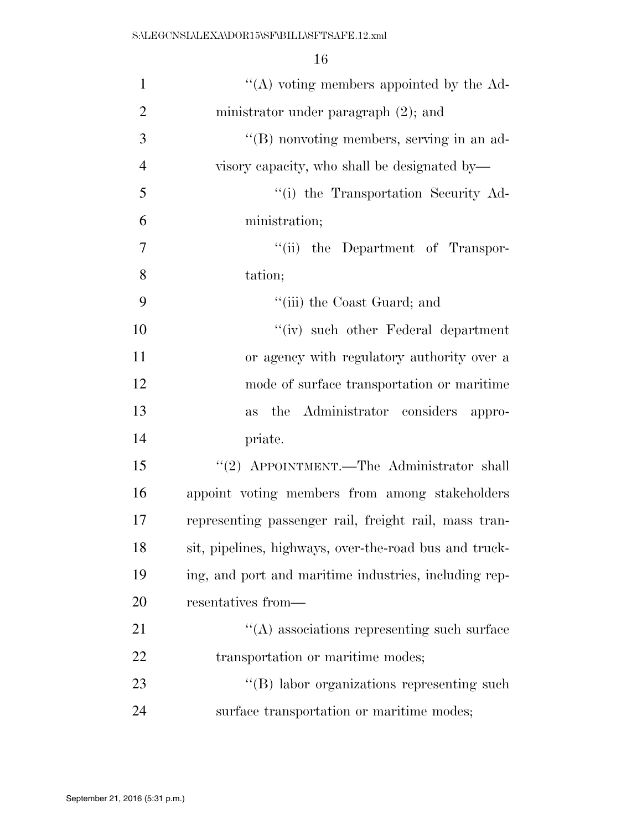| $\mathbf{1}$   | "(A) voting members appointed by the $Ad-$             |
|----------------|--------------------------------------------------------|
| $\overline{2}$ | ministrator under paragraph $(2)$ ; and                |
| 3              | "(B) nonvoting members, serving in an ad-              |
| $\overline{4}$ | visory capacity, who shall be designated by—           |
| 5              | "(i) the Transportation Security Ad-                   |
| 6              | ministration;                                          |
| 7              | "(ii) the Department of Transpor-                      |
| 8              | tation;                                                |
| 9              | "(iii) the Coast Guard; and                            |
| 10             | "(iv) such other Federal department                    |
| 11             | or agency with regulatory authority over a             |
| 12             | mode of surface transportation or maritime             |
| 13             | the Administrator considers<br><b>as</b><br>appro-     |
| 14             | priate.                                                |
| 15             | "(2) APPOINTMENT.—The Administrator shall              |
| 16             | appoint voting members from among stakeholders         |
| 17             | representing passenger rail, freight rail, mass tran-  |
| 18             | sit, pipelines, highways, over-the-road bus and truck- |
| 19             | ing, and port and maritime industries, including rep-  |
| 20             | resentatives from—                                     |
| 21             | "(A) associations representing such surface            |
| 22             | transportation or maritime modes;                      |
| 23             | "(B) labor organizations representing such             |
| 24             | surface transportation or maritime modes;              |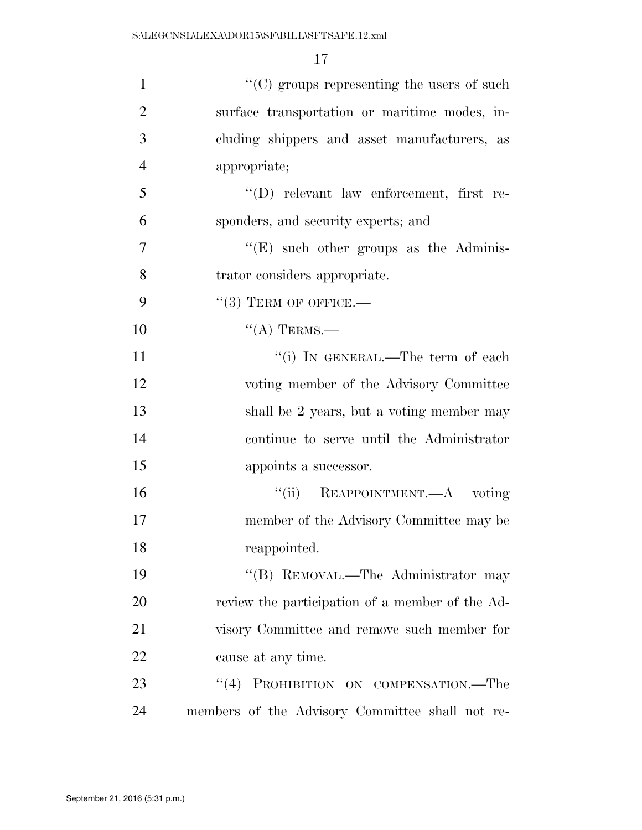| $\mathbf{1}$   | "(C) groups representing the users of such      |
|----------------|-------------------------------------------------|
| $\overline{2}$ | surface transportation or maritime modes, in-   |
| 3              | cluding shippers and asset manufacturers, as    |
| $\overline{4}$ | appropriate;                                    |
| 5              | $\lq\lq$ relevant law enforcement, first re-    |
| 6              | sponders, and security experts; and             |
| $\overline{7}$ | $\lq\lq(E)$ such other groups as the Adminis-   |
| 8              | trator considers appropriate.                   |
| 9              | $``(3)$ TERM OF OFFICE.—                        |
| 10             | $``(A)$ TERMS.—                                 |
| 11             | "(i) IN GENERAL.—The term of each               |
| 12             | voting member of the Advisory Committee         |
| 13             | shall be 2 years, but a voting member may       |
| 14             | continue to serve until the Administrator       |
| 15             | appoints a successor.                           |
| 16             | "(ii) REAPPOINTMENT.—A voting                   |
| 17             | member of the Advisory Committee may be         |
| 18             | reappointed.                                    |
| 19             | "(B) REMOVAL.—The Administrator may             |
| 20             | review the participation of a member of the Ad- |
| 21             | visory Committee and remove such member for     |
| 22             | cause at any time.                              |
| 23             | (4)<br>PROHIBITION ON COMPENSATION.-The         |
| 24             | members of the Advisory Committee shall not re- |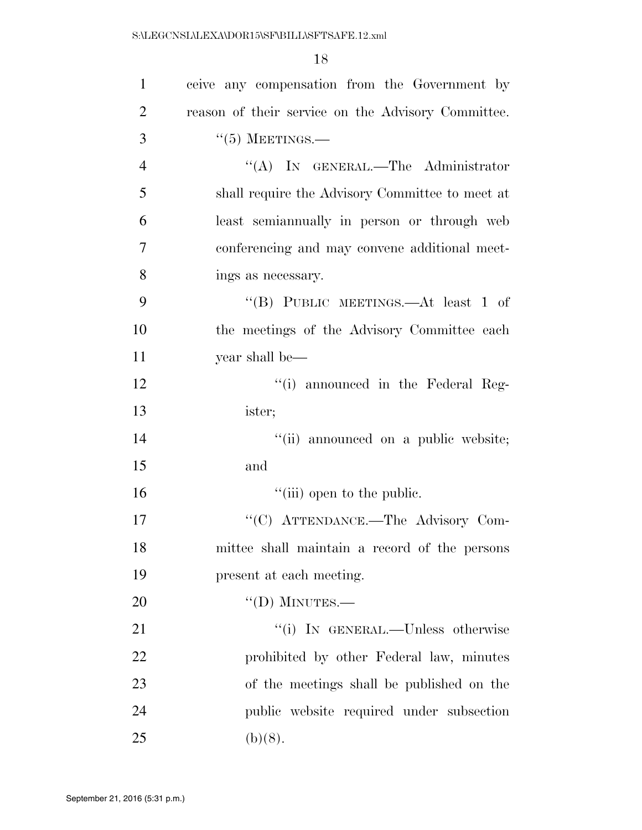| $\mathbf{1}$   | ceive any compensation from the Government by      |
|----------------|----------------------------------------------------|
| $\overline{2}$ | reason of their service on the Advisory Committee. |
| 3              | $``(5)$ MEETINGS.—                                 |
| $\overline{4}$ | "(A) IN GENERAL.—The Administrator                 |
| 5              | shall require the Advisory Committee to meet at    |
| 6              | least semianmually in person or through web        |
| 7              | conferencing and may convene additional meet-      |
| 8              | ings as necessary.                                 |
| 9              | "(B) PUBLIC MEETINGS.—At least 1 of                |
| 10             | the meetings of the Advisory Committee each        |
| 11             | year shall be—                                     |
| 12             | "(i) announced in the Federal Reg-                 |
| 13             | ister;                                             |
| 14             | "(ii) announced on a public website;               |
| 15             | and                                                |
| 16             | "(iii) open to the public.                         |
| 17             | "(C) ATTENDANCE.—The Advisory Com-                 |
| 18             | mittee shall maintain a record of the persons      |
| 19             | present at each meeting.                           |
| 20             | $``(D)$ MINUTES.-                                  |
| 21             | "(i) IN GENERAL.—Unless otherwise                  |
| 22             | prohibited by other Federal law, minutes           |
| 23             | of the meetings shall be published on the          |
| 24             | public website required under subsection           |
| 25             | (b)(8).                                            |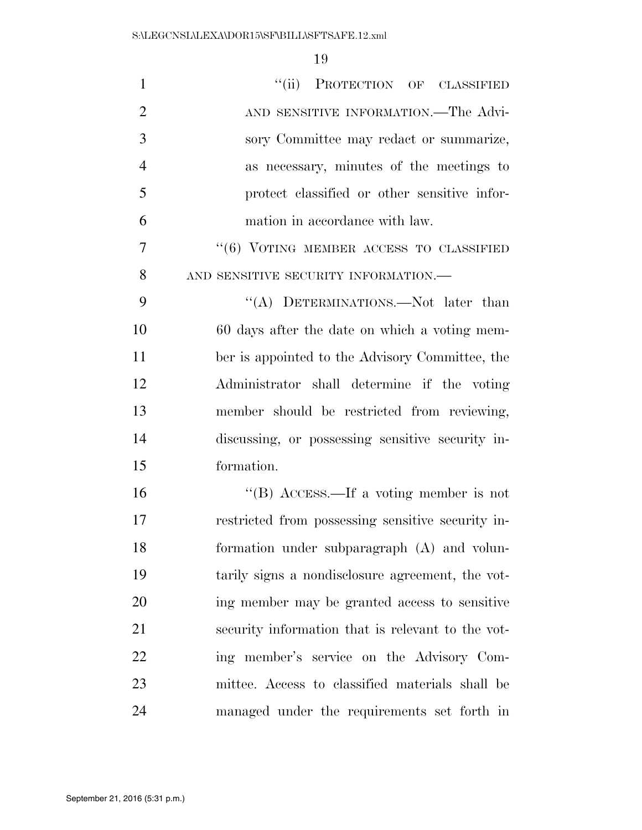| $\mathbf{1}$   | "(ii) PROTECTION OF CLASSIFIED                    |
|----------------|---------------------------------------------------|
| $\overline{2}$ | AND SENSITIVE INFORMATION.—The Advi-              |
| 3              | sory Committee may redact or summarize,           |
| $\overline{4}$ | as necessary, minutes of the meetings to          |
| 5              | protect classified or other sensitive infor-      |
| 6              | mation in accordance with law.                    |
| 7              | $``(6)$ VOTING MEMBER ACCESS TO CLASSIFIED        |
| 8              | AND SENSITIVE SECURITY INFORMATION.-              |
| 9              | "(A) DETERMINATIONS.—Not later than               |
| 10             | 60 days after the date on which a voting mem-     |
| 11             | ber is appointed to the Advisory Committee, the   |
| 12             | Administrator shall determine if the voting       |
| 13             | member should be restricted from reviewing,       |
| 14             | discussing, or possessing sensitive security in-  |
| 15             | formation.                                        |
| 16             | "(B) ACCESS.—If a voting member is not            |
| 17             | restricted from possessing sensitive security in- |
| 18             | formation under subparagraph $(A)$ and volun-     |
| 19             | tarily signs a nondisclosure agreement, the vot-  |
| 20             | ing member may be granted access to sensitive     |
| 21             | security information that is relevant to the vot- |
| 22             | ing member's service on the Advisory Com-         |
| 23             | mittee. Access to classified materials shall be   |
| 24             | managed under the requirements set forth in       |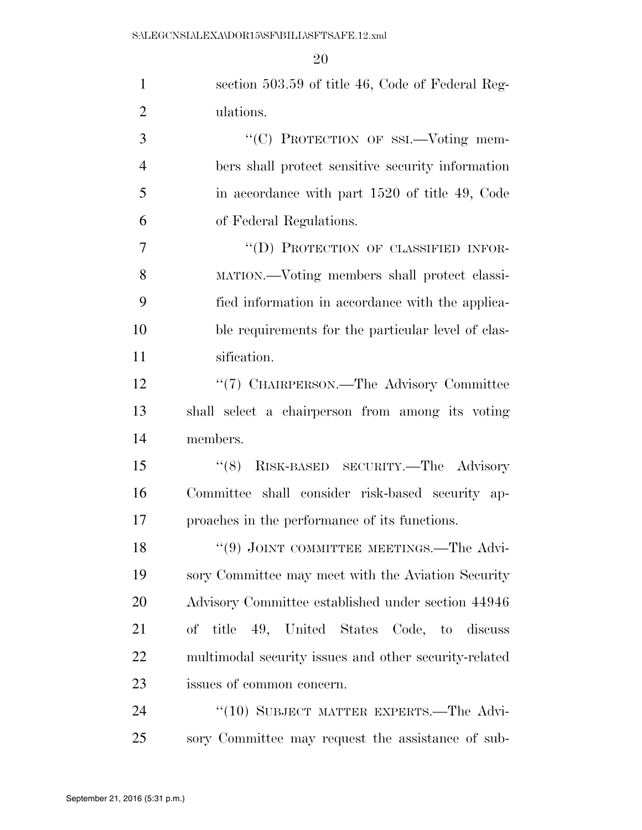| $\mathbf{1}$   | section 503.59 of title 46, Code of Federal Reg-      |
|----------------|-------------------------------------------------------|
| $\overline{2}$ | ulations.                                             |
| 3              | "(C) PROTECTION OF SSI.-Voting mem-                   |
| $\overline{4}$ | bers shall protect sensitive security information     |
| 5              | in accordance with part 1520 of title 49, Code        |
| 6              | of Federal Regulations.                               |
| $\overline{7}$ | "(D) PROTECTION OF CLASSIFIED INFOR-                  |
| 8              | MATION.—Voting members shall protect classi-          |
| 9              | fied information in accordance with the applica-      |
| 10             | ble requirements for the particular level of clas-    |
| 11             | sification.                                           |
| 12             | "(7) CHAIRPERSON.—The Advisory Committee              |
| 13             | shall select a chairperson from among its voting      |
| 14             | members.                                              |
| 15             | RISK-BASED SECURITY.-The Advisory<br>(8)              |
| 16             | Committee shall consider risk-based security ap-      |
| 17             | proaches in the performance of its functions.         |
| 18             | $(9)$ JOINT COMMITTEE MEETINGS.—The Advi-             |
| 19             | sory Committee may meet with the Aviation Security    |
| 20             | Advisory Committee established under section 44946    |
| 21             | of title 49, United States Code, to discuss           |
| 22             | multimodal security issues and other security-related |
| 23             | issues of common concern.                             |
| 24             | "(10) SUBJECT MATTER EXPERTS.—The Advi-               |
| 25             | sory Committee may request the assistance of sub-     |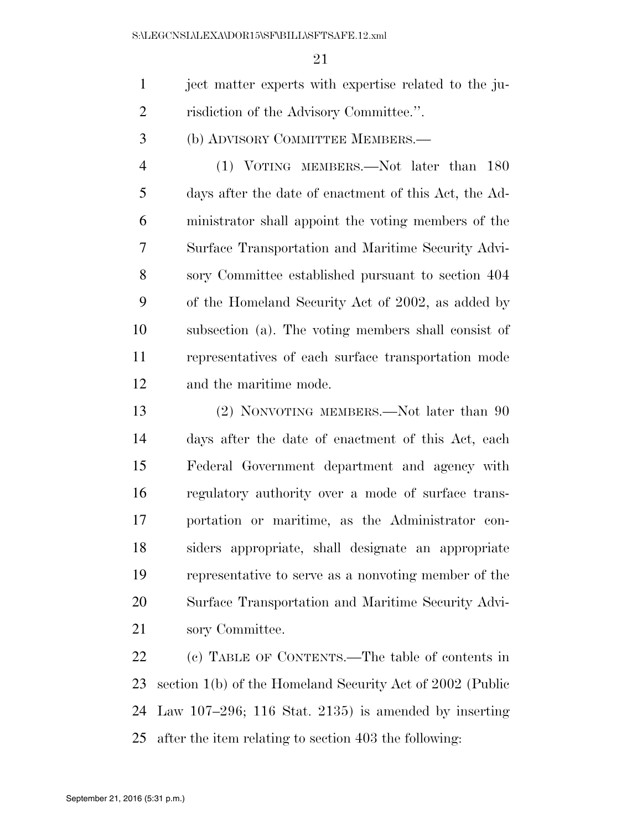ject matter experts with expertise related to the ju-risdiction of the Advisory Committee.''.

(b) ADVISORY COMMITTEE MEMBERS.—

 (1) VOTING MEMBERS.—Not later than 180 days after the date of enactment of this Act, the Ad- ministrator shall appoint the voting members of the Surface Transportation and Maritime Security Advi- sory Committee established pursuant to section 404 of the Homeland Security Act of 2002, as added by subsection (a). The voting members shall consist of representatives of each surface transportation mode and the maritime mode.

 (2) NONVOTING MEMBERS.—Not later than 90 days after the date of enactment of this Act, each Federal Government department and agency with regulatory authority over a mode of surface trans- portation or maritime, as the Administrator con- siders appropriate, shall designate an appropriate representative to serve as a nonvoting member of the Surface Transportation and Maritime Security Advi-sory Committee.

 (c) TABLE OF CONTENTS.—The table of contents in section 1(b) of the Homeland Security Act of 2002 (Public Law 107–296; 116 Stat. 2135) is amended by inserting after the item relating to section 403 the following: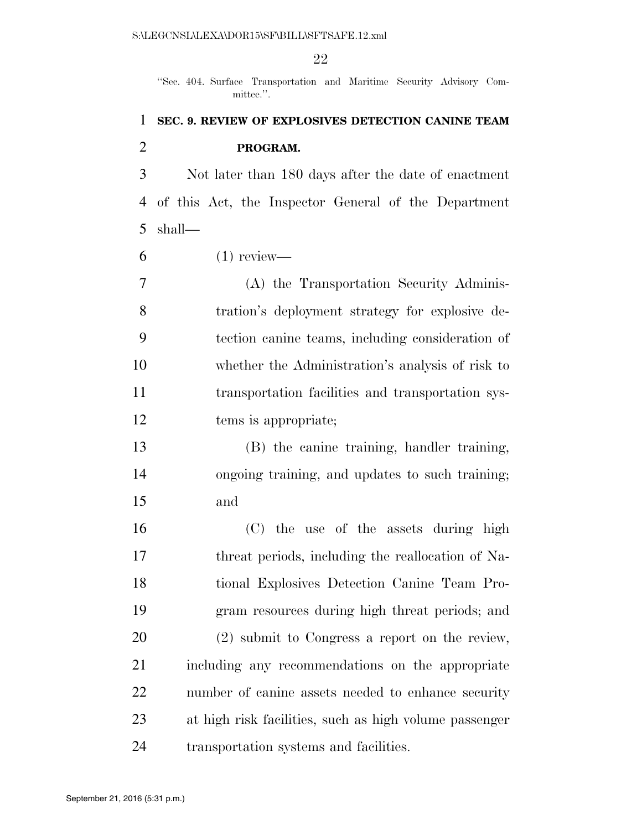''Sec. 404. Surface Transportation and Maritime Security Advisory Committee.''.

## **SEC. 9. REVIEW OF EXPLOSIVES DETECTION CANINE TEAM PROGRAM.**

 Not later than 180 days after the date of enactment of this Act, the Inspector General of the Department shall—

 $6 \qquad (1) \text{ review}$ —

 (A) the Transportation Security Adminis- tration's deployment strategy for explosive de- tection canine teams, including consideration of whether the Administration's analysis of risk to transportation facilities and transportation sys-12 tems is appropriate;

 (B) the canine training, handler training, ongoing training, and updates to such training; and

 (C) the use of the assets during high threat periods, including the reallocation of Na- tional Explosives Detection Canine Team Pro- gram resources during high threat periods; and (2) submit to Congress a report on the review, including any recommendations on the appropriate number of canine assets needed to enhance security at high risk facilities, such as high volume passenger transportation systems and facilities.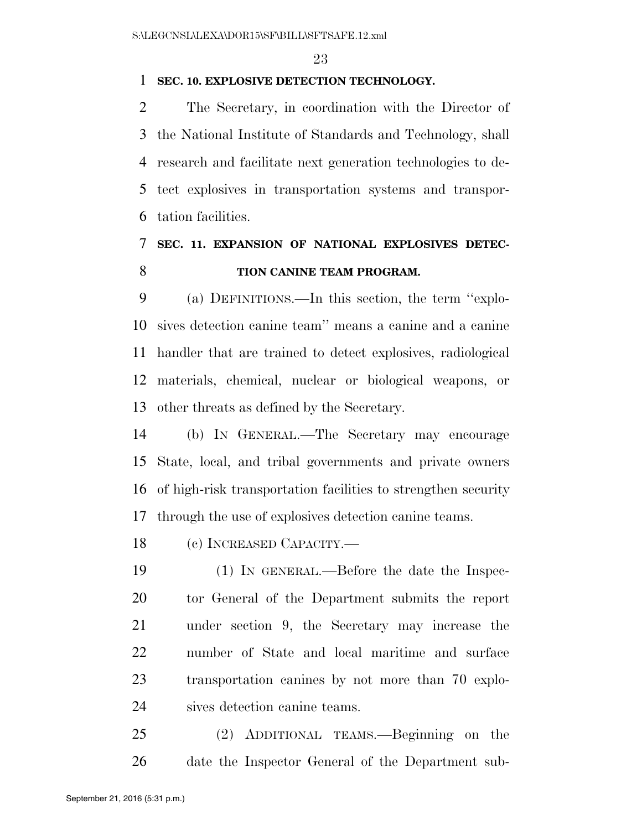### **SEC. 10. EXPLOSIVE DETECTION TECHNOLOGY.**

 The Secretary, in coordination with the Director of the National Institute of Standards and Technology, shall research and facilitate next generation technologies to de- tect explosives in transportation systems and transpor-tation facilities.

# **SEC. 11. EXPANSION OF NATIONAL EXPLOSIVES DETEC-TION CANINE TEAM PROGRAM.**

 (a) DEFINITIONS.—In this section, the term ''explo- sives detection canine team'' means a canine and a canine handler that are trained to detect explosives, radiological materials, chemical, nuclear or biological weapons, or other threats as defined by the Secretary.

 (b) IN GENERAL.—The Secretary may encourage State, local, and tribal governments and private owners of high-risk transportation facilities to strengthen security through the use of explosives detection canine teams.

(c) INCREASED CAPACITY.—

 (1) IN GENERAL.—Before the date the Inspec- tor General of the Department submits the report under section 9, the Secretary may increase the number of State and local maritime and surface transportation canines by not more than 70 explo-sives detection canine teams.

 (2) ADDITIONAL TEAMS.—Beginning on the date the Inspector General of the Department sub-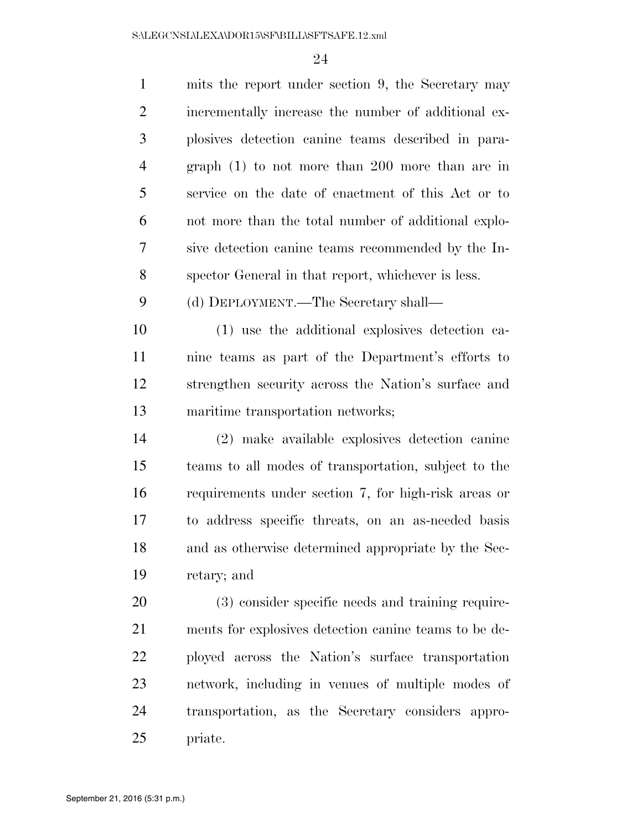| $\mathbf{1}$   | mits the report under section 9, the Secretary may    |
|----------------|-------------------------------------------------------|
| $\overline{2}$ | incrementally increase the number of additional ex-   |
| 3              | plosives detection canine teams described in para-    |
| $\overline{4}$ | graph $(1)$ to not more than 200 more than are in     |
| 5              | service on the date of enactment of this Act or to    |
| 6              | not more than the total number of additional explo-   |
| 7              | sive detection canine teams recommended by the In-    |
| 8              | spector General in that report, whichever is less.    |
| 9              | (d) DEPLOYMENT.—The Secretary shall—                  |
| 10             | (1) use the additional explosives detection ca-       |
| 11             | nine teams as part of the Department's efforts to     |
| 12             | strengthen security across the Nation's surface and   |
| 13             | maritime transportation networks;                     |
| 14             | (2) make available explosives detection canine        |
| 15             | teams to all modes of transportation, subject to the  |
| 16             | requirements under section 7, for high-risk areas or  |
| 17             | to address specific threats, on an as-needed basis    |
| 18             | and as otherwise determined appropriate by the Sec-   |
| 19             | retary; and                                           |
| 20             | (3) consider specific needs and training require-     |
| 21             | ments for explosives detection can ne teams to be de- |
| 22             | ployed across the Nation's surface transportation     |
| 23             | network, including in venues of multiple modes of     |
| 24             | transportation, as the Secretary considers appro-     |
| 25             | priate.                                               |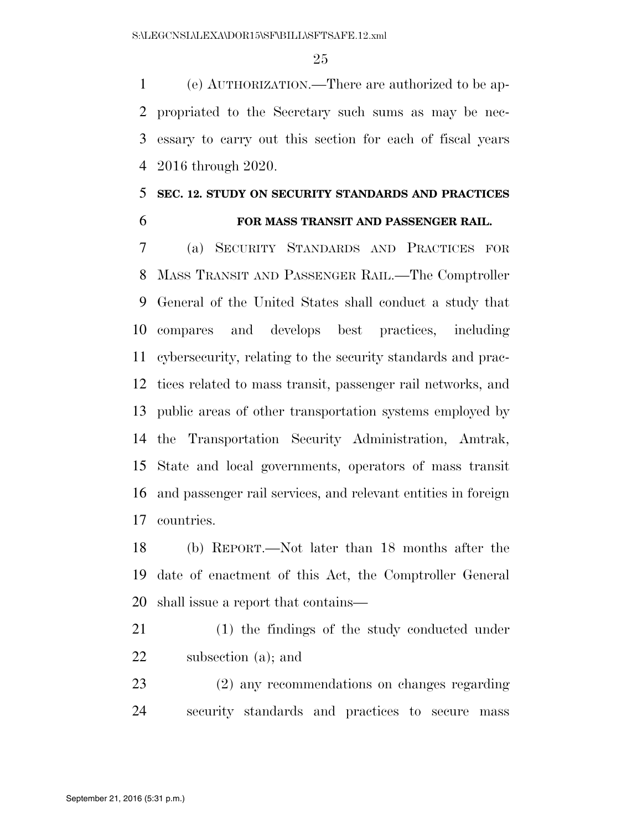(e) AUTHORIZATION.—There are authorized to be ap- propriated to the Secretary such sums as may be nec- essary to carry out this section for each of fiscal years 2016 through 2020.

## **SEC. 12. STUDY ON SECURITY STANDARDS AND PRACTICES FOR MASS TRANSIT AND PASSENGER RAIL.**

 (a) SECURITY STANDARDS AND PRACTICES FOR MASS TRANSIT AND PASSENGER RAIL.—The Comptroller General of the United States shall conduct a study that compares and develops best practices, including cybersecurity, relating to the security standards and prac- tices related to mass transit, passenger rail networks, and public areas of other transportation systems employed by the Transportation Security Administration, Amtrak, State and local governments, operators of mass transit and passenger rail services, and relevant entities in foreign countries.

 (b) REPORT.—Not later than 18 months after the date of enactment of this Act, the Comptroller General shall issue a report that contains—

 (1) the findings of the study conducted under subsection (a); and

 (2) any recommendations on changes regarding security standards and practices to secure mass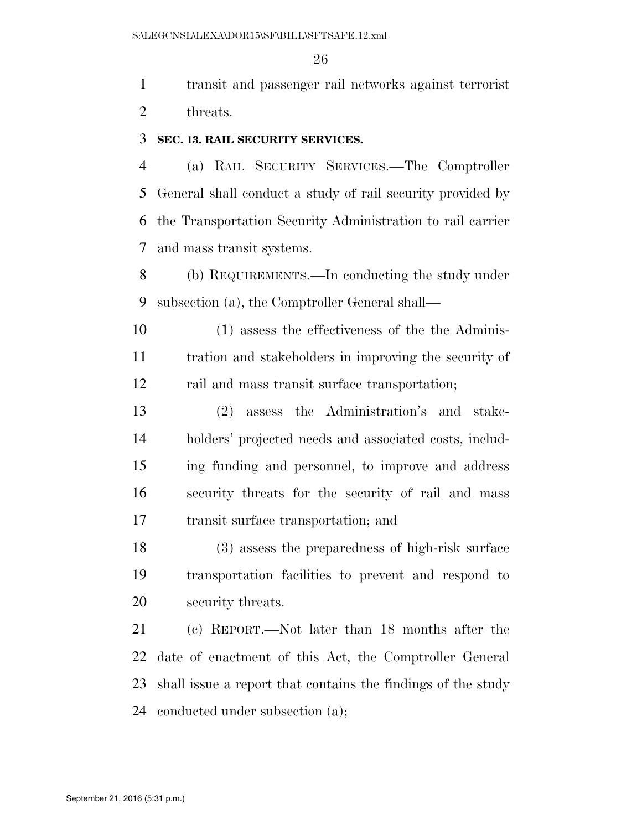transit and passenger rail networks against terrorist 2 threats.

#### **SEC. 13. RAIL SECURITY SERVICES.**

 (a) RAIL SECURITY SERVICES.—The Comptroller General shall conduct a study of rail security provided by the Transportation Security Administration to rail carrier and mass transit systems.

 (b) REQUIREMENTS.—In conducting the study under subsection (a), the Comptroller General shall—

 (1) assess the effectiveness of the the Adminis- tration and stakeholders in improving the security of rail and mass transit surface transportation;

 (2) assess the Administration's and stake- holders' projected needs and associated costs, includ- ing funding and personnel, to improve and address security threats for the security of rail and mass transit surface transportation; and

 (3) assess the preparedness of high-risk surface transportation facilities to prevent and respond to security threats.

 (c) REPORT.—Not later than 18 months after the date of enactment of this Act, the Comptroller General shall issue a report that contains the findings of the study conducted under subsection (a);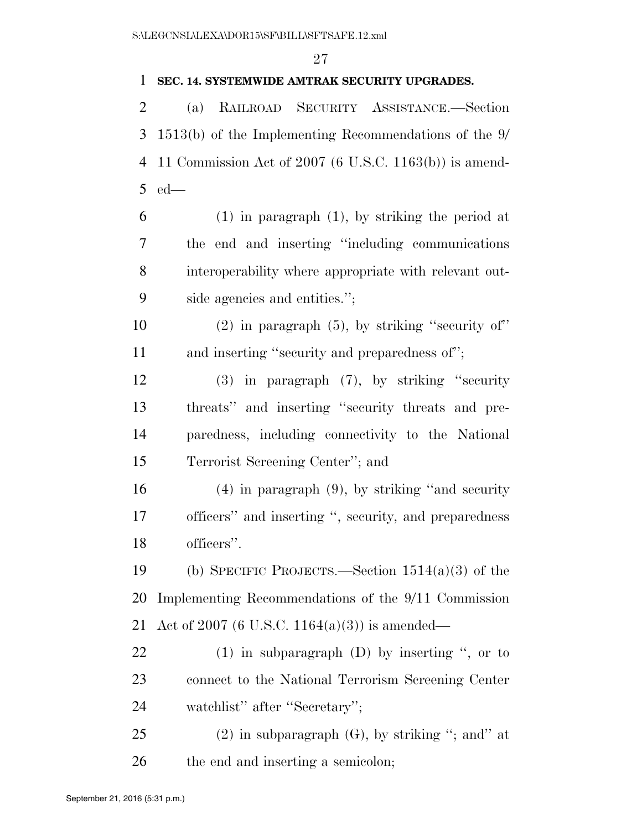### **SEC. 14. SYSTEMWIDE AMTRAK SECURITY UPGRADES.**

 (a) RAILROAD SECURITY ASSISTANCE.—Section 1513(b) of the Implementing Recommendations of the 9/ 11 Commission Act of 2007 (6 U.S.C. 1163(b)) is amend-ed—

- (1) in paragraph (1), by striking the period at the end and inserting ''including communications interoperability where appropriate with relevant out-side agencies and entities.'';
- 10  $(2)$  in paragraph (5), by striking "security of" 11 and inserting "security and preparedness of";

 (3) in paragraph (7), by striking ''security threats'' and inserting ''security threats and pre- paredness, including connectivity to the National Terrorist Screening Center''; and

 (4) in paragraph (9), by striking ''and security officers'' and inserting '', security, and preparedness officers''.

 (b) SPECIFIC PROJECTS.—Section 1514(a)(3) of the Implementing Recommendations of the 9/11 Commission Act of 2007 (6 U.S.C. 1164(a)(3)) is amended—

 (1) in subparagraph (D) by inserting '', or to connect to the National Terrorism Screening Center watchlist'' after ''Secretary'';

25 (2) in subparagraph  $(G)$ , by striking "; and" at 26 the end and inserting a semicolon;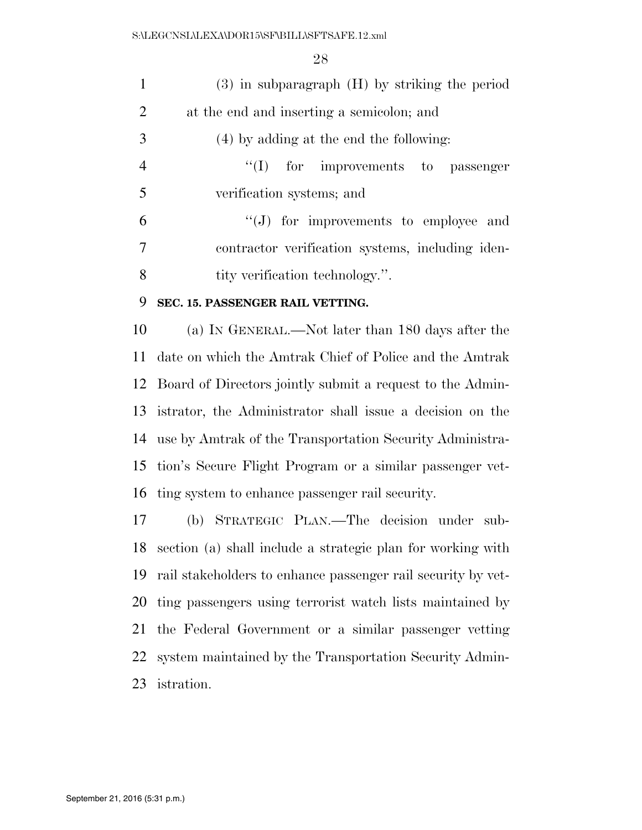S:\LEGCNSL\LEXA\DOR15\SF\BILL\SFTSAFE.12.xml

| $\mathbf{1}$   | $(3)$ in subparagraph $(H)$ by striking the period          |
|----------------|-------------------------------------------------------------|
| $\overline{2}$ | at the end and inserting a semicolon; and                   |
| 3              | (4) by adding at the end the following:                     |
| $\overline{4}$ | "(I) for improvements to passenger                          |
| 5              | verification systems; and                                   |
| 6              | $\lq\lq(J)$ for improvements to employee and                |
| $\overline{7}$ | contractor verification systems, including iden-            |
| 8              | tity verification technology.".                             |
|                |                                                             |
| 9              | SEC. 15. PASSENGER RAIL VETTING.                            |
| 10             | (a) IN GENERAL.—Not later than 180 days after the           |
| 11             | date on which the Amtrak Chief of Police and the Amtrak     |
| 12             | Board of Directors jointly submit a request to the Admin-   |
| 13             | istrator, the Administrator shall issue a decision on the   |
| 14             | use by Amtrak of the Transportation Security Administra-    |
|                | 15 tion's Secure Flight Program or a similar passenger vet- |
|                | 16 ting system to enhance passenger rail security.          |

 (b) STRATEGIC PLAN.—The decision under sub- section (a) shall include a strategic plan for working with rail stakeholders to enhance passenger rail security by vet- ting passengers using terrorist watch lists maintained by the Federal Government or a similar passenger vetting system maintained by the Transportation Security Admin-istration.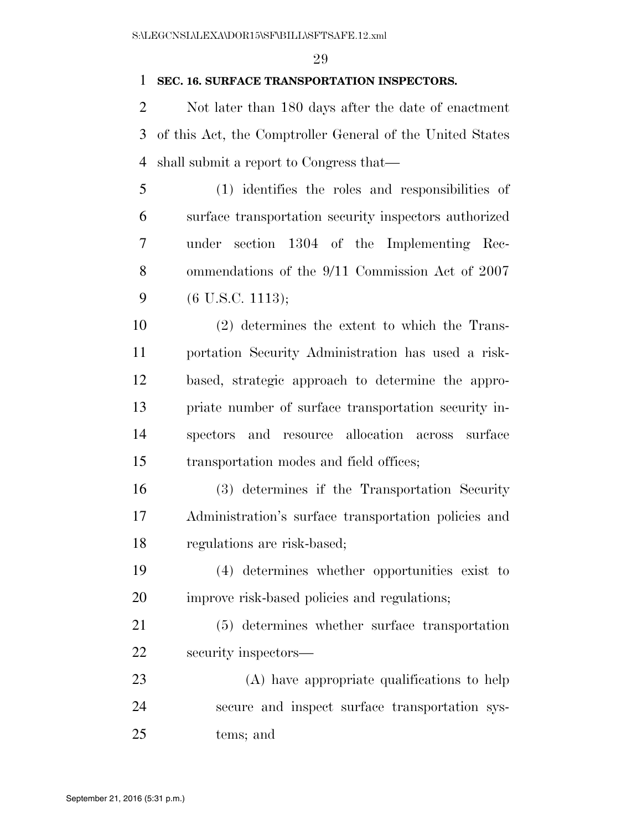### **SEC. 16. SURFACE TRANSPORTATION INSPECTORS.**

 Not later than 180 days after the date of enactment of this Act, the Comptroller General of the United States shall submit a report to Congress that—

 (1) identifies the roles and responsibilities of surface transportation security inspectors authorized under section 1304 of the Implementing Rec- ommendations of the 9/11 Commission Act of 2007 (6 U.S.C. 1113);

 (2) determines the extent to which the Trans- portation Security Administration has used a risk- based, strategic approach to determine the appro- priate number of surface transportation security in- spectors and resource allocation across surface transportation modes and field offices;

 (3) determines if the Transportation Security Administration's surface transportation policies and regulations are risk-based;

 (4) determines whether opportunities exist to improve risk-based policies and regulations;

 (5) determines whether surface transportation security inspectors—

 (A) have appropriate qualifications to help secure and inspect surface transportation sys-tems; and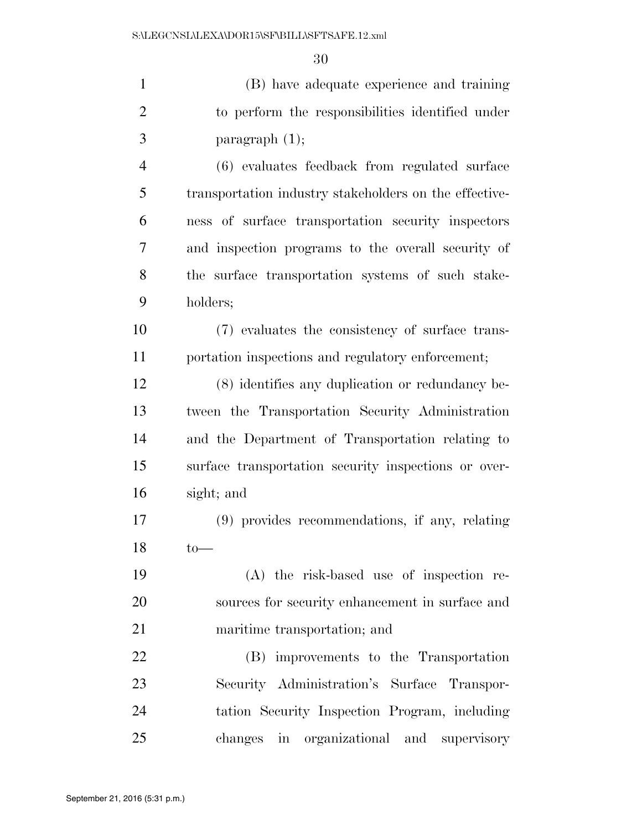| $\mathbf{1}$   | (B) have adequate experience and training              |
|----------------|--------------------------------------------------------|
| $\overline{2}$ | to perform the responsibilities identified under       |
| 3              | paragraph $(1)$ ;                                      |
| $\overline{4}$ | (6) evaluates feedback from regulated surface          |
| 5              | transportation industry stakeholders on the effective- |
| 6              | ness of surface transportation security inspectors     |
| 7              | and inspection programs to the overall security of     |
| 8              | the surface transportation systems of such stake-      |
| 9              | holders;                                               |
| 10             | (7) evaluates the consistency of surface trans-        |
| 11             | portation inspections and regulatory enforcement;      |
| 12             | (8) identifies any duplication or redundancy be-       |
| 13             | tween the Transportation Security Administration       |
| 14             | and the Department of Transportation relating to       |
| 15             | surface transportation security inspections or over-   |
| 16             | sight; and                                             |
| 17             | (9) provides recommendations, if any, relating         |
| 18             | $to-$                                                  |
| 19             | (A) the risk-based use of inspection re-               |
| 20             | sources for security enhancement in surface and        |
| 21             | maritime transportation; and                           |
| 22             | (B) improvements to the Transportation                 |
| 23             | Security Administration's Surface Transpor-            |
| 24             | tation Security Inspection Program, including          |
| 25             | changes in organizational and supervisory              |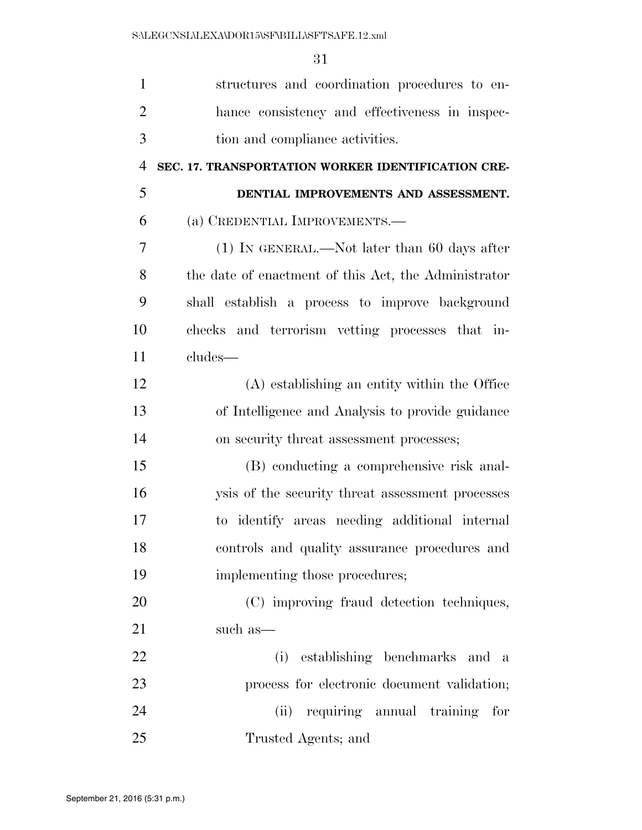| $\mathbf{1}$   | structures and coordination procedures to en-        |
|----------------|------------------------------------------------------|
| $\overline{2}$ | hance consistency and effectiveness in inspec-       |
| 3              | tion and compliance activities.                      |
| $\overline{4}$ | SEC. 17. TRANSPORTATION WORKER IDENTIFICATION CRE-   |
| 5              | DENTIAL IMPROVEMENTS AND ASSESSMENT.                 |
| 6              | (a) CREDENTIAL IMPROVEMENTS.-                        |
| 7              | $(1)$ In GENERAL.—Not later than 60 days after       |
| 8              | the date of enactment of this Act, the Administrator |
| 9              | shall establish a process to improve background      |
| 10             | checks and terrorism vetting processes that in-      |
| 11             | cludes—                                              |
| 12             | (A) establishing an entity within the Office         |
| 13             | of Intelligence and Analysis to provide guidance     |
| 14             | on security threat assessment processes;             |
| 15             | (B) conducting a comprehensive risk anal-            |
| 16             | ysis of the security threat assessment processes     |
| 17             | to identify areas needing additional internal        |
| 18             | controls and quality assurance procedures and        |
| 19             | implementing those procedures;                       |
| 20             | (C) improving fraud detection techniques,            |
| 21             | such as—                                             |
| 22             | (i) establishing benchmarks and a                    |
| 23             | process for electronic document validation;          |
| 24             | requiring annual training for<br>(ii)                |
| 25             | Trusted Agents; and                                  |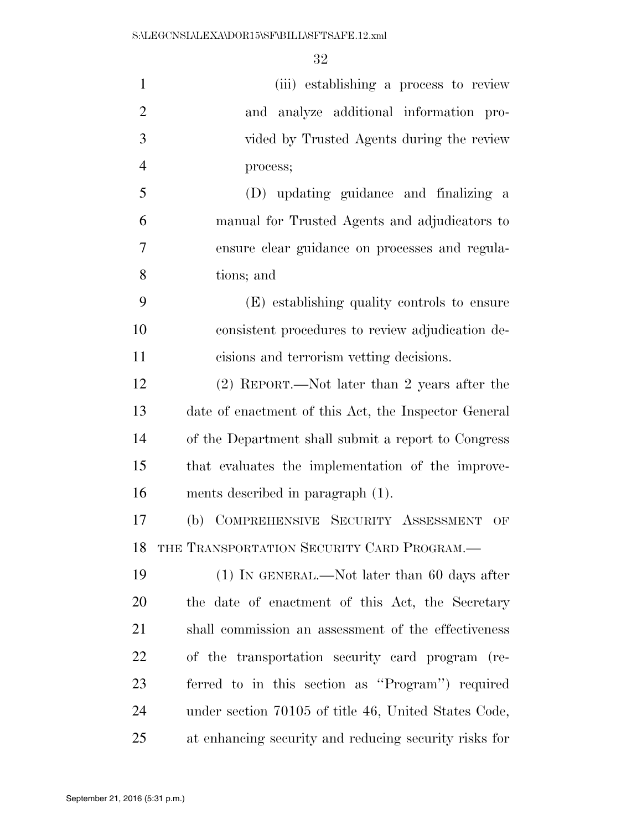| $\mathbf{1}$   | (iii) establishing a process to review                |
|----------------|-------------------------------------------------------|
| $\overline{2}$ | and analyze additional information pro-               |
| 3              | vided by Trusted Agents during the review             |
| $\overline{4}$ | process;                                              |
| 5              | (D) updating guidance and finalizing a                |
| 6              | manual for Trusted Agents and adjudicators to         |
| 7              | ensure clear guidance on processes and regula-        |
| 8              | tions; and                                            |
| 9              | (E) establishing quality controls to ensure           |
| 10             | consistent procedures to review adjudication de-      |
| 11             | cisions and terrorism vetting decisions.              |
| 12             | (2) REPORT.—Not later than 2 years after the          |
| 13             | date of enactment of this Act, the Inspector General  |
| 14             | of the Department shall submit a report to Congress   |
| 15             | that evaluates the implementation of the improve-     |
| 16             | ments described in paragraph (1).                     |
| 17             | (b) COMPREHENSIVE SECURITY ASSESSMENT<br>OF           |
| 18             | THE TRANSPORTATION SECURITY CARD PROGRAM.             |
| 19             | $(1)$ In GENERAL.—Not later than 60 days after        |
| 20             | the date of enactment of this Act, the Secretary      |
| 21             | shall commission an assessment of the effectiveness   |
| 22             | of the transportation security card program (re-      |
| 23             | ferred to in this section as "Program") required      |
| 24             | under section 70105 of title 46, United States Code,  |
| 25             | at enhancing security and reducing security risks for |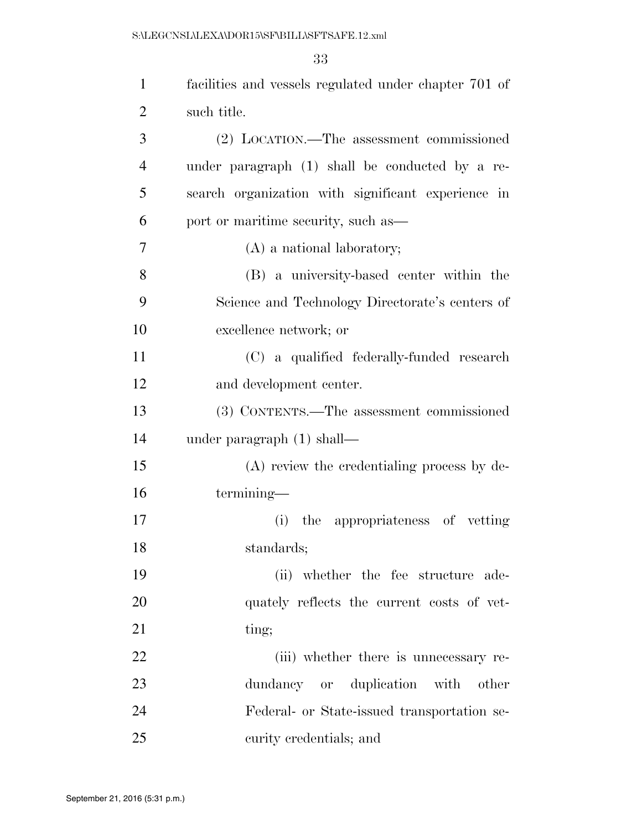| $\mathbf{1}$   | facilities and vessels regulated under chapter 701 of |
|----------------|-------------------------------------------------------|
| $\overline{2}$ | such title.                                           |
| 3              | (2) LOCATION.—The assessment commissioned             |
| $\overline{4}$ | under paragraph (1) shall be conducted by a re-       |
| 5              | search organization with significant experience in    |
| 6              | port or maritime security, such as—                   |
| 7              | (A) a national laboratory;                            |
| 8              | (B) a university-based center within the              |
| 9              | Science and Technology Directorate's centers of       |
| 10             | excellence network; or                                |
| 11             | (C) a qualified federally-funded research             |
| 12             | and development center.                               |
| 13             | (3) CONTENTS.—The assessment commissioned             |
| 14             | under paragraph $(1)$ shall—                          |
| 15             | (A) review the credentialing process by de-           |
| 16             | termining-                                            |
| 17             | the appropriateness of vetting<br>(i)                 |
| 18             | standards;                                            |
| 19             | (ii) whether the fee structure ade-                   |
| 20             | quately reflects the current costs of vet-            |
| 21             | ting;                                                 |
| 22             | (iii) whether there is unnecessary re-                |
| 23             | dundancy or duplication with other                    |
| 24             | Federal- or State-issued transportation se-           |
| 25             | curity credentials; and                               |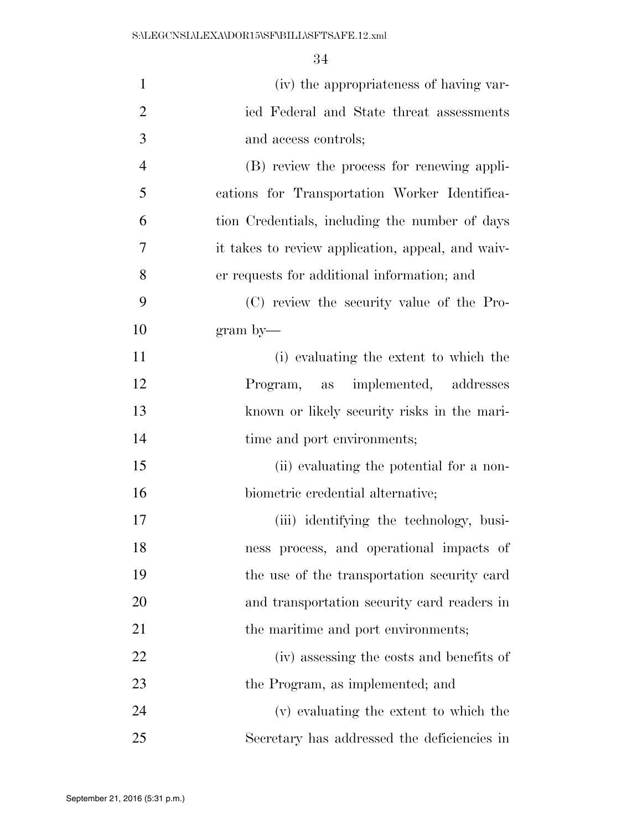| $\mathbf{1}$   | (iv) the appropriateness of having var-           |
|----------------|---------------------------------------------------|
| $\overline{2}$ | ied Federal and State threat assessments          |
| 3              | and access controls;                              |
| $\overline{4}$ | (B) review the process for renewing appli-        |
| 5              | cations for Transportation Worker Identifica-     |
| 6              | tion Credentials, including the number of days    |
| 7              | it takes to review application, appeal, and waiv- |
| 8              | er requests for additional information; and       |
| 9              | (C) review the security value of the Pro-         |
| 10             | $\gamma$ gram by                                  |
| 11             | (i) evaluating the extent to which the            |
| 12             | Program, as implemented, addresses                |
| 13             | known or likely security risks in the mari-       |
| 14             | time and port environments;                       |
| 15             | (ii) evaluating the potential for a non-          |
| 16             | biometric credential alternative;                 |
| 17             | (iii) identifying the technology, busi-           |
| 18             | ness process, and operational impacts of          |
| 19             | the use of the transportation security card       |
| 20             | and transportation security card readers in       |
| 21             | the maritime and port environments;               |
| 22             | (iv) assessing the costs and benefits of          |
| 23             | the Program, as implemented; and                  |
| 24             | (v) evaluating the extent to which the            |
| 25             | Secretary has addressed the deficiencies in       |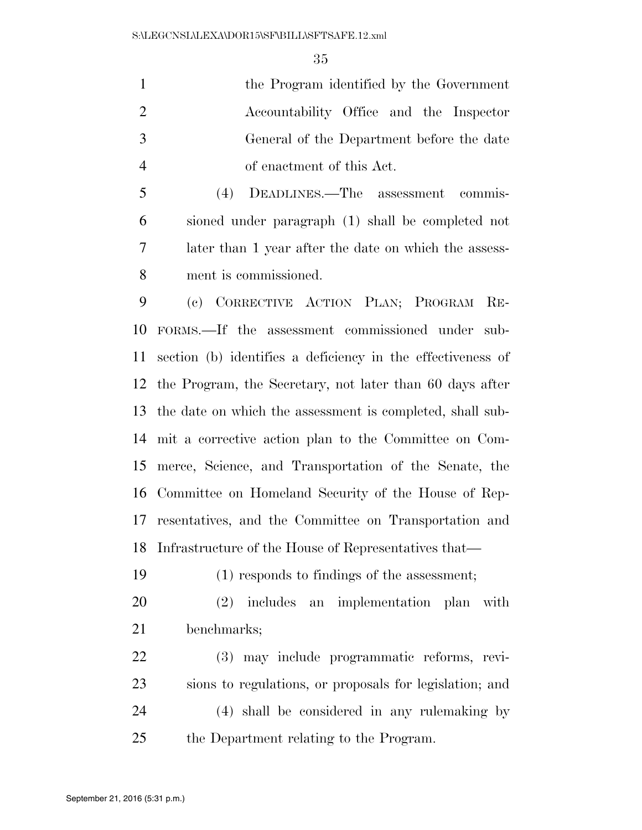the Program identified by the Government Accountability Office and the Inspector General of the Department before the date of enactment of this Act.

 (4) DEADLINES.—The assessment commis- sioned under paragraph (1) shall be completed not later than 1 year after the date on which the assess-ment is commissioned.

 (c) CORRECTIVE ACTION PLAN; PROGRAM RE- FORMS.—If the assessment commissioned under sub- section (b) identifies a deficiency in the effectiveness of the Program, the Secretary, not later than 60 days after the date on which the assessment is completed, shall sub- mit a corrective action plan to the Committee on Com- merce, Science, and Transportation of the Senate, the Committee on Homeland Security of the House of Rep- resentatives, and the Committee on Transportation and Infrastructure of the House of Representatives that—

(1) responds to findings of the assessment;

 (2) includes an implementation plan with benchmarks;

 (3) may include programmatic reforms, revi- sions to regulations, or proposals for legislation; and (4) shall be considered in any rulemaking by the Department relating to the Program.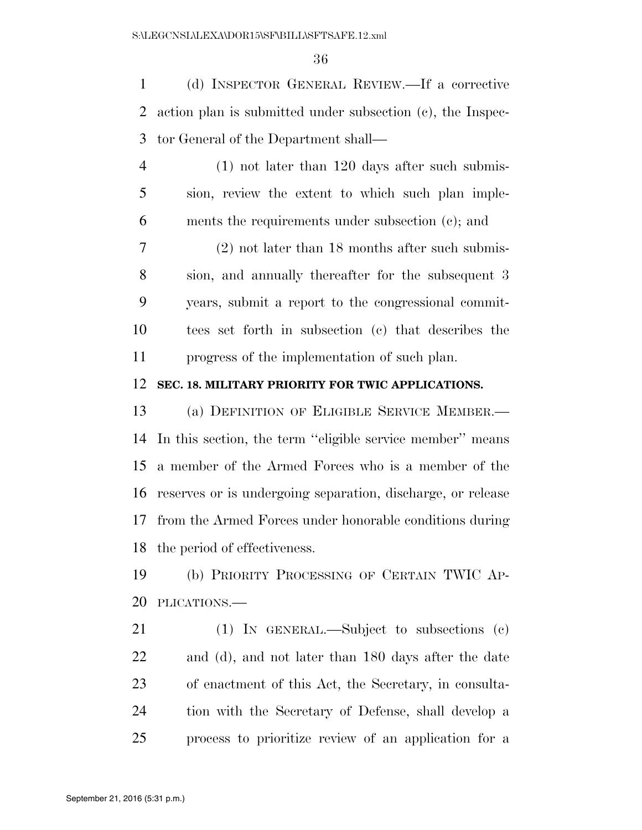(d) INSPECTOR GENERAL REVIEW.—If a corrective action plan is submitted under subsection (c), the Inspec-tor General of the Department shall—

 (1) not later than 120 days after such submis- sion, review the extent to which such plan imple-ments the requirements under subsection (c); and

 (2) not later than 18 months after such submis- sion, and annually thereafter for the subsequent 3 years, submit a report to the congressional commit- tees set forth in subsection (c) that describes the progress of the implementation of such plan.

### **SEC. 18. MILITARY PRIORITY FOR TWIC APPLICATIONS.**

 (a) DEFINITION OF ELIGIBLE SERVICE MEMBER.— In this section, the term ''eligible service member'' means a member of the Armed Forces who is a member of the reserves or is undergoing separation, discharge, or release from the Armed Forces under honorable conditions during the period of effectiveness.

 (b) PRIORITY PROCESSING OF CERTAIN TWIC AP-PLICATIONS.—

 (1) IN GENERAL.—Subject to subsections (c) and (d), and not later than 180 days after the date of enactment of this Act, the Secretary, in consulta- tion with the Secretary of Defense, shall develop a process to prioritize review of an application for a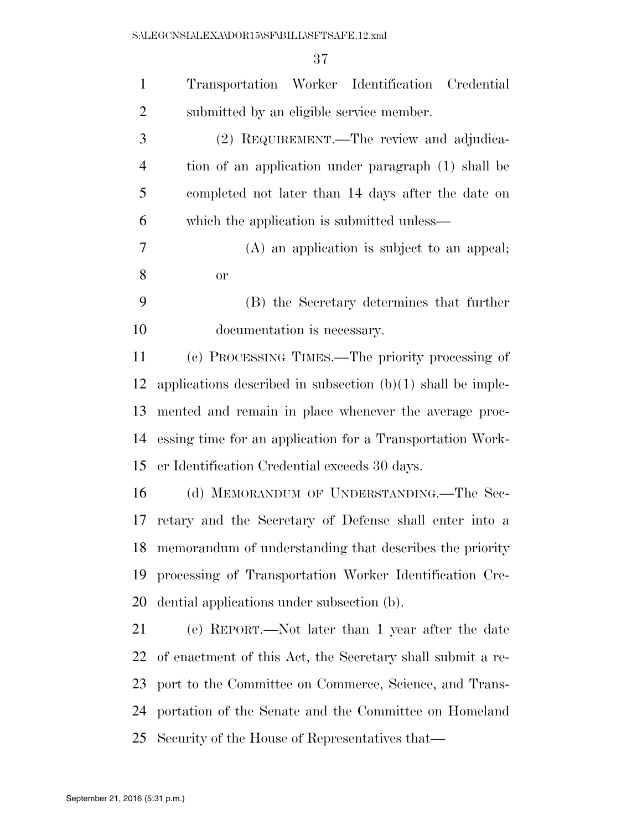| $\mathbf{1}$   | Transportation Worker Identification Credential               |
|----------------|---------------------------------------------------------------|
| $\overline{2}$ | submitted by an eligible service member.                      |
| 3              | (2) REQUIREMENT.—The review and adjudica-                     |
| 4              | tion of an application under paragraph (1) shall be           |
| 5              | completed not later than 14 days after the date on            |
| 6              | which the application is submitted unless—                    |
| 7              | (A) an application is subject to an appeal;                   |
| 8              | <b>or</b>                                                     |
| 9              | (B) the Secretary determines that further                     |
| 10             | documentation is necessary.                                   |
| 11             | (c) PROCESSING TIMES.—The priority processing of              |
| 12             | applications described in subsection $(b)(1)$ shall be imple- |
| 13             | mented and remain in place whenever the average proc-         |
| 14             | essing time for an application for a Transportation Work-     |
| 15             | er Identification Credential exceeds 30 days.                 |
| 16             | (d) MEMORANDUM OF UNDERSTANDING.—The Sec-                     |
| 17             | retary and the Secretary of Defense shall enter into a        |
| 18             | memorandum of understanding that describes the priority       |
| 19             | processing of Transportation Worker Identification Cre-       |
| 20             | dential applications under subsection (b).                    |
| 21             | (e) REPORT.—Not later than 1 year after the date              |
| 22             | of enactment of this Act, the Secretary shall submit a re-    |
| 23             | port to the Committee on Commerce, Science, and Trans-        |
| 24             | portation of the Senate and the Committee on Homeland         |
| 25             | Security of the House of Representatives that—                |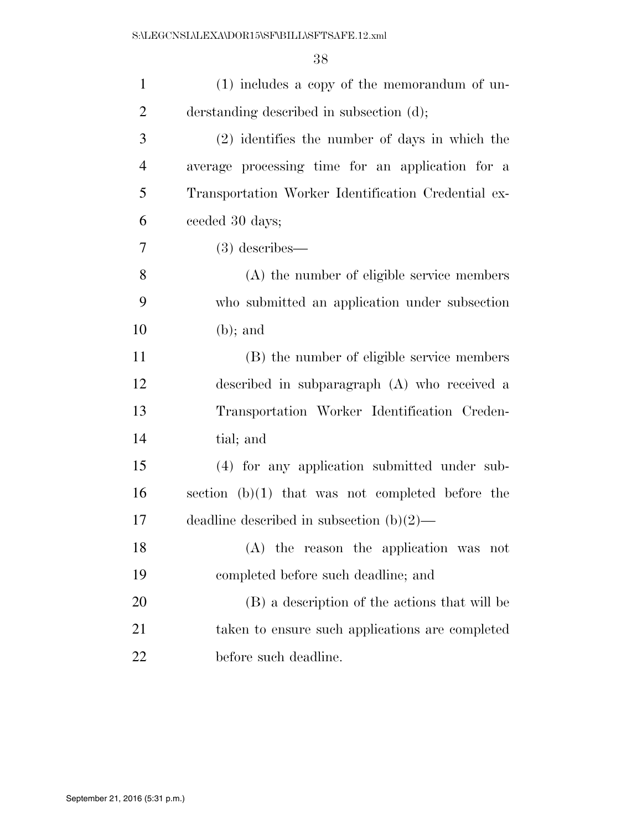| $\mathbf{1}$   | (1) includes a copy of the memorandum of un-        |
|----------------|-----------------------------------------------------|
| $\overline{2}$ | derstanding described in subsection (d);            |
| 3              | $(2)$ identifies the number of days in which the    |
| $\overline{4}$ | average processing time for an application for a    |
| 5              | Transportation Worker Identification Credential ex- |
| 6              | ceeded 30 days;                                     |
| 7              | $(3)$ describes—                                    |
| 8              | (A) the number of eligible service members          |
| 9              | who submitted an application under subsection       |
| 10             | $(b)$ ; and                                         |
| 11             | (B) the number of eligible service members          |
| 12             | described in subparagraph (A) who received a        |
| 13             | Transportation Worker Identification Creden-        |
| 14             | tial; and                                           |
| 15             | (4) for any application submitted under sub-        |
| 16             | section $(b)(1)$ that was not completed before the  |
| 17             | deadline described in subsection $(b)(2)$ —         |
| 18             | (A) the reason the application was not              |
| 19             | completed before such deadline; and                 |
| 20             | (B) a description of the actions that will be       |
| 21             | taken to ensure such applications are completed     |
| 22             | before such deadline.                               |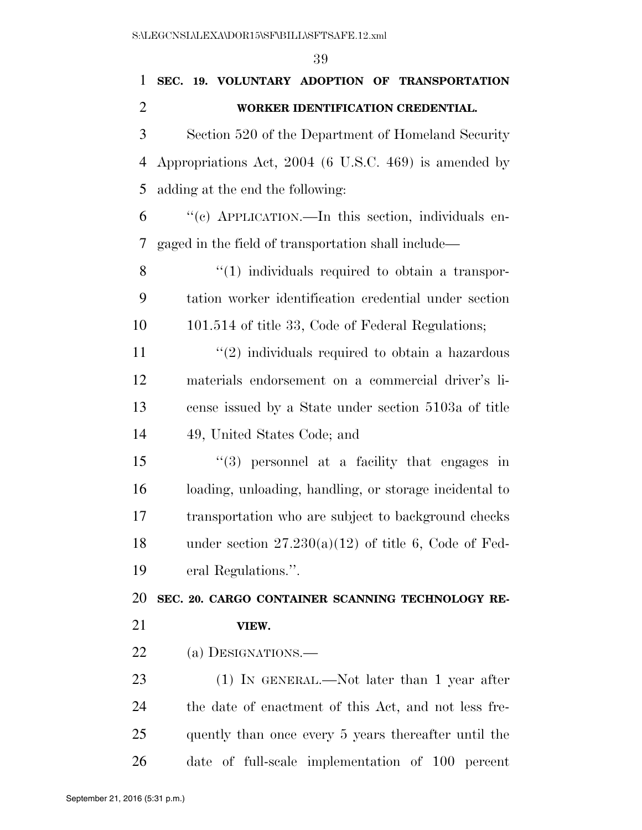| I |
|---|
|   |

| $\mathbf{1}$   | SEC. 19. VOLUNTARY ADOPTION OF TRANSPORTATION          |
|----------------|--------------------------------------------------------|
| $\overline{2}$ | WORKER IDENTIFICATION CREDENTIAL.                      |
| 3              | Section 520 of the Department of Homeland Security     |
| 4              | Appropriations Act, 2004 (6 U.S.C. 469) is amended by  |
| 5              | adding at the end the following:                       |
| 6              | "(c) APPLICATION.—In this section, individuals en-     |
| 7              | gaged in the field of transportation shall include—    |
| 8              | $\lq(1)$ individuals required to obtain a transpor-    |
| 9              | tation worker identification credential under section  |
| 10             | 101.514 of title 33, Code of Federal Regulations;      |
| 11             | $\lq(2)$ individuals required to obtain a hazardous    |
| 12             | materials endorsement on a commercial driver's li-     |
| 13             | cense issued by a State under section 5103a of title   |
| 14             | 49, United States Code; and                            |
| 15             | $\lq(3)$ personnel at a facility that engages in       |
| 16             | loading, unloading, handling, or storage incidental to |
| 17             | transportation who are subject to background checks    |
| 18             | under section $27.230(a)(12)$ of title 6, Code of Fed- |
| 19             | eral Regulations.".                                    |
| 20             | SEC. 20. CARGO CONTAINER SCANNING TECHNOLOGY RE-       |
| 21             | VIEW.                                                  |
| <u>22</u>      | (a) DESIGNATIONS.—                                     |
| 23             | $(1)$ IN GENERAL.—Not later than 1 year after          |
| 24             | the date of enactment of this Act, and not less fre-   |
| 25             | quently than once every 5 years thereafter until the   |
| 26             | date of full-scale implementation of 100 percent       |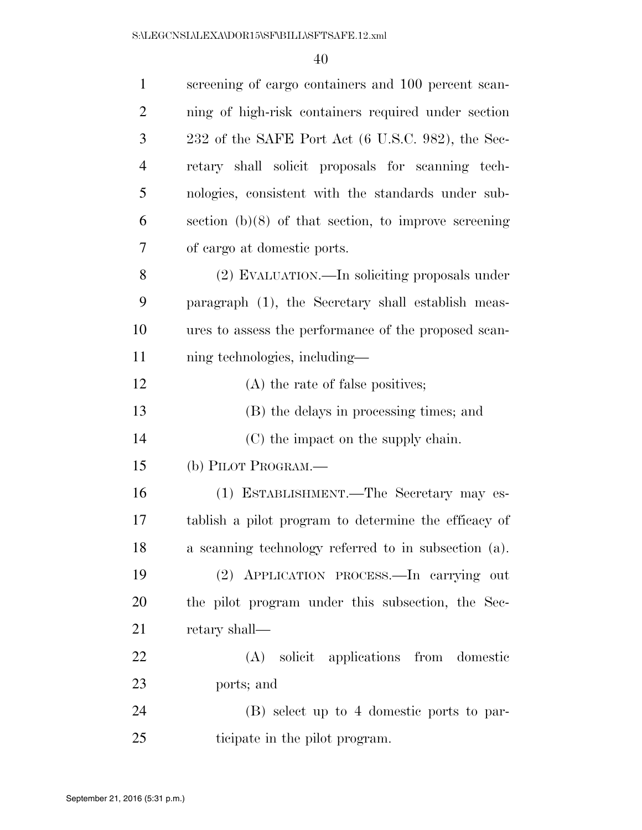| $\mathbf{1}$   | screening of cargo containers and 100 percent scan-    |
|----------------|--------------------------------------------------------|
| $\overline{2}$ | ning of high-risk containers required under section    |
| 3              | 232 of the SAFE Port Act (6 U.S.C. 982), the Sec-      |
| $\overline{4}$ | retary shall solicit proposals for scanning tech-      |
| 5              | nologies, consistent with the standards under sub-     |
| 6              | section $(b)(8)$ of that section, to improve screening |
| 7              | of cargo at domestic ports.                            |
| 8              | (2) EVALUATION.—In soliciting proposals under          |
| 9              | paragraph (1), the Secretary shall establish meas-     |
| 10             | ures to assess the performance of the proposed scan-   |
| 11             | ning technologies, including—                          |
| 12             | (A) the rate of false positives;                       |
| 13             | (B) the delays in processing times; and                |
| 14             | (C) the impact on the supply chain.                    |
| 15             | (b) PILOT PROGRAM.—                                    |
| 16             | (1) ESTABLISHMENT.—The Secretary may es-               |
| 17             | tablish a pilot program to determine the efficacy of   |
| 18             | a scanning technology referred to in subsection (a).   |
| 19             | (2) APPLICATION PROCESS.—In carrying out               |
| 20             | the pilot program under this subsection, the Sec-      |
| 21             | retary shall—                                          |
| 22             | (A) solicit applications from domestic                 |
| 23             | ports; and                                             |
| 24             | (B) select up to 4 domestic ports to par-              |
| 25             | ticipate in the pilot program.                         |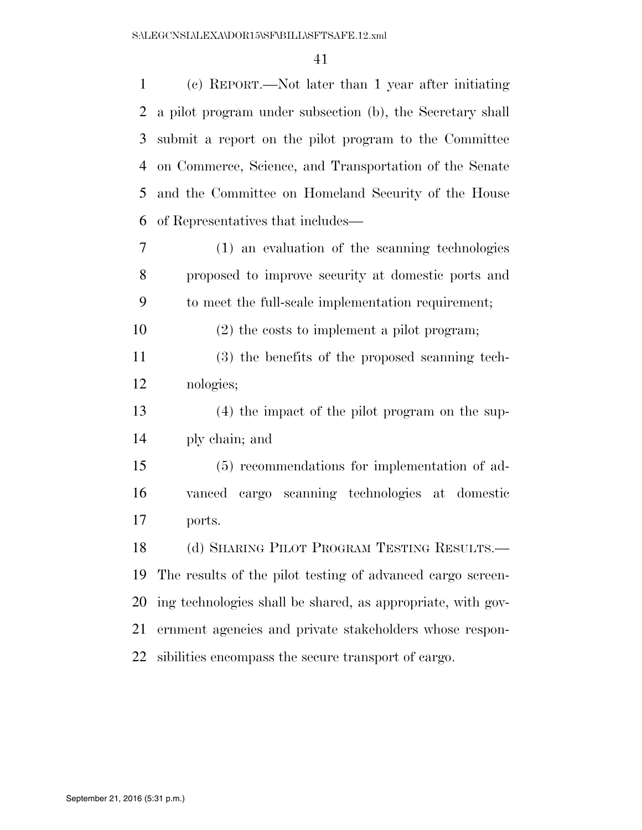| $\mathbf{1}$   | (c) REPORT.—Not later than 1 year after initiating          |
|----------------|-------------------------------------------------------------|
| $\overline{2}$ | a pilot program under subsection (b), the Secretary shall   |
| 3              | submit a report on the pilot program to the Committee       |
| 4              | on Commerce, Science, and Transportation of the Senate      |
| 5              | and the Committee on Homeland Security of the House         |
| 6              | of Representatives that includes—                           |
| 7              | (1) an evaluation of the scanning technologies              |
| 8              | proposed to improve security at domestic ports and          |
| 9              | to meet the full-scale implementation requirement;          |
| 10             | $(2)$ the costs to implement a pilot program;               |
| 11             | (3) the benefits of the proposed scanning tech-             |
| 12             | nologies;                                                   |
| 13             | (4) the impact of the pilot program on the sup-             |
| 14             | ply chain; and                                              |
| 15             | (5) recommendations for implementation of ad-               |
| 16             | vanced cargo scanning technologies at domestic              |
| 17             | ports.                                                      |
| 18             | (d) SHARING PILOT PROGRAM TESTING RESULTS.-                 |
| 19             | The results of the pilot testing of advanced cargo screen-  |
| 20             | ing technologies shall be shared, as appropriate, with gov- |
| 21             | ernment agencies and private stakeholders whose respon-     |
| 22             | sibilities encompass the secure transport of cargo.         |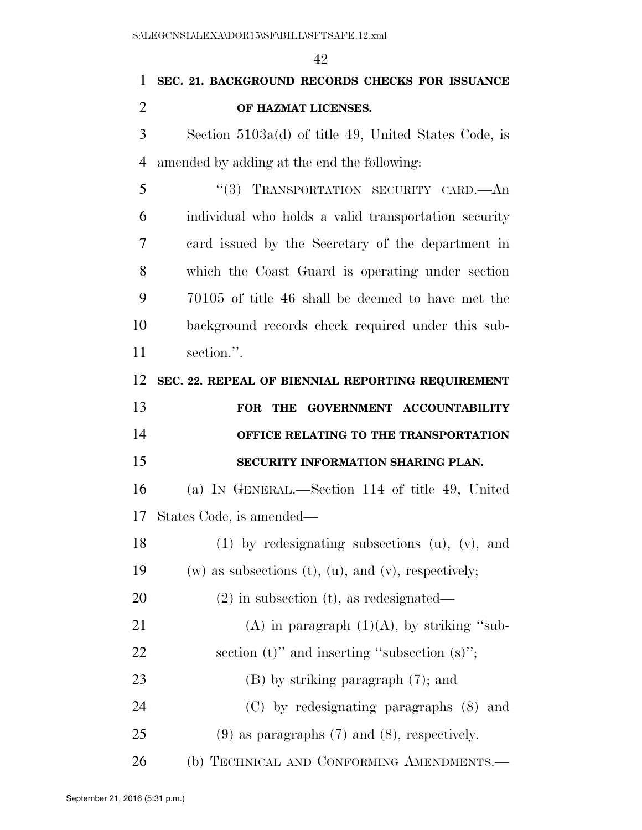# **SEC. 21. BACKGROUND RECORDS CHECKS FOR ISSUANCE OF HAZMAT LICENSES.**

 Section 5103a(d) of title 49, United States Code, is amended by adding at the end the following:

 ''(3) TRANSPORTATION SECURITY CARD.—An individual who holds a valid transportation security card issued by the Secretary of the department in which the Coast Guard is operating under section 70105 of title 46 shall be deemed to have met the background records check required under this sub-section.''.

**SEC. 22. REPEAL OF BIENNIAL REPORTING REQUIREMENT** 

| 13 | FOR THE GOVERNMENT ACCOUNTABILITY            |
|----|----------------------------------------------|
| 14 | <b>OFFICE RELATING TO THE TRANSPORTATION</b> |
| 15 | SECURITY INFORMATION SHARING PLAN.           |

 (a) IN GENERAL.—Section 114 of title 49, United States Code, is amended—

 (1) by redesignating subsections (u), (v), and 19 (w) as subsections (t), (u), and (v), respectively; (2) in subsection (t), as redesignated— 21 (A) in paragraph  $(1)(A)$ , by striking "sub-22 section (t)" and inserting "subsection (s)"; 23 (B) by striking paragraph (7); and

(C) by redesignating paragraphs (8) and

(9) as paragraphs (7) and (8), respectively.

26 (b) TECHNICAL AND CONFORMING AMENDMENTS.—